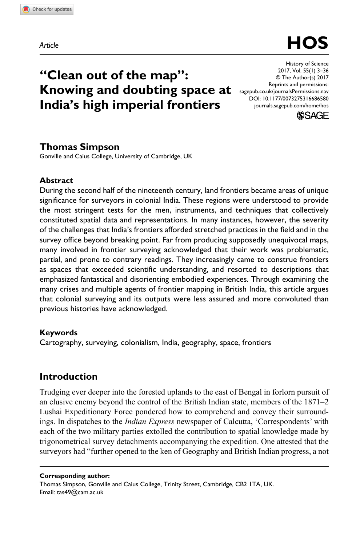**6865[80](http://crossmark.crossref.org/dialog/?doi=10.1177%2F0073275316686580&domain=pdf&date_stamp=2017-03-01)** HOS0010.1177/0073275316686580History of Science**Simpson**

*Article*

# **"Clean out of the map": Knowing and doubting space at India's high imperial frontiers**

DOI: 10.1177/0073275316686580 History of Science 2017, Vol. 55(1) 3–36 © The Author(s) 2017 Reprints and permissions: [sagepub.co.uk/journalsPermissions.nav](https://uk.sagepub.com/en-gb/journals-permission) [journals.sagepub.com/home/hos](https://journals.sagepub.com/home/hos)



## **Thomas Simpson**

Gonville and Caius College, University of Cambridge, UK

## **Abstract**

During the second half of the nineteenth century, land frontiers became areas of unique significance for surveyors in colonial India. These regions were understood to provide the most stringent tests for the men, instruments, and techniques that collectively constituted spatial data and representations. In many instances, however, the severity of the challenges that India's frontiers afforded stretched practices in the field and in the survey office beyond breaking point. Far from producing supposedly unequivocal maps, many involved in frontier surveying acknowledged that their work was problematic, partial, and prone to contrary readings. They increasingly came to construe frontiers as spaces that exceeded scientific understanding, and resorted to descriptions that emphasized fantastical and disorienting embodied experiences. Through examining the many crises and multiple agents of frontier mapping in British India, this article argues that colonial surveying and its outputs were less assured and more convoluted than previous histories have acknowledged.

### **Keywords**

Cartography, surveying, colonialism, India, geography, space, frontiers

# **Introduction**

Trudging ever deeper into the forested uplands to the east of Bengal in forlorn pursuit of an elusive enemy beyond the control of the British Indian state, members of the 1871–2 Lushai Expeditionary Force pondered how to comprehend and convey their surroundings. In dispatches to the *Indian Express* newspaper of Calcutta, 'Correspondents' with each of the two military parties extolled the contribution to spatial knowledge made by trigonometrical survey detachments accompanying the expedition. One attested that the surveyors had "further opened to the ken of Geography and British Indian progress, a not

**Corresponding author:** Thomas Simpson, Gonville and Caius College, Trinity Street, Cambridge, CB2 1TA, UK. Email: [tas49@cam.ac.uk](mailto:tas49@cam.ac.uk)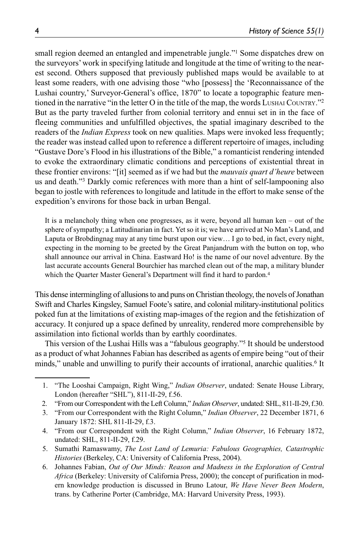small region deemed an entangled and impenetrable jungle."1 Some dispatches drew on the surveyors' work in specifying latitude and longitude at the time of writing to the nearest second. Others supposed that previously published maps would be available to at least some readers, with one advising those "who [possess] the 'Reconnaissance of the Lushai country,' Surveyor-General's office, 1870" to locate a topographic feature mentioned in the narrative "in the letter O in the title of the map, the words LUSHAI COUNTRY."<sup>2</sup> But as the party traveled further from colonial territory and ennui set in in the face of fleeing communities and unfulfilled objectives, the spatial imaginary described to the readers of the *Indian Express* took on new qualities. Maps were invoked less frequently; the reader was instead called upon to reference a different repertoire of images, including "Gustave Dore's Flood in his illustrations of the Bible," a romanticist rendering intended to evoke the extraordinary climatic conditions and perceptions of existential threat in these frontier environs: "[it] seemed as if we had but the *mauvais quart d'heure* between us and death."3 Darkly comic references with more than a hint of self-lampooning also began to jostle with references to longitude and latitude in the effort to make sense of the expedition's environs for those back in urban Bengal.

It is a melancholy thing when one progresses, as it were, beyond all human ken – out of the sphere of sympathy; a Latitudinarian in fact. Yet so it is; we have arrived at No Man's Land, and Laputa or Brobdingnag may at any time burst upon our view… I go to bed, in fact, every night, expecting in the morning to be greeted by the Great Panjandrum with the button on top, who shall announce our arrival in China. Eastward Ho! is the name of our novel adventure. By the last accurate accounts General Bourchier has marched clean out of the map, a military blunder which the Quarter Master General's Department will find it hard to pardon.<sup>4</sup>

This dense intermingling of allusions to and puns on Christian theology, the novels of Jonathan Swift and Charles Kingsley, Samuel Foote's satire, and colonial military-institutional politics poked fun at the limitations of existing map-images of the region and the fetishization of accuracy. It conjured up a space defined by unreality, rendered more comprehensible by assimilation into fictional worlds than by earthly coordinates.

This version of the Lushai Hills was a "fabulous geography."5 It should be understood as a product of what Johannes Fabian has described as agents of empire being "out of their minds," unable and unwilling to purify their accounts of irrational, anarchic qualities.<sup>6</sup> It

2. "From our Correspondent with the Left Column," *Indian Observer*, undated: SHL, 811-II-29, f.30.

- 4. "From our Correspondent with the Right Column," *Indian Observer*, 16 February 1872, undated: SHL, 811-II-29, f.29.
- 5. Sumathi Ramaswamy, *The Lost Land of Lemuria: Fabulous Geographies, Catastrophic Histories* (Berkeley, CA: University of California Press, 2004).
- 6. Johannes Fabian, *Out of Our Minds: Reason and Madness in the Exploration of Central Africa* (Berkeley: University of California Press, 2000); the concept of purification in modern knowledge production is discussed in Bruno Latour, *We Have Never Been Modern*, trans. by Catherine Porter (Cambridge, MA: Harvard University Press, 1993).

 <sup>1.</sup> "The Looshai Campaign, Right Wing," *Indian Observer*, undated: Senate House Library, London (hereafter "SHL"), 811-II-29, f.56.

 <sup>3.</sup> "From our Correspondent with the Right Column," *Indian Observer*, 22 December 1871, 6 January 1872: SHL 811-II-29, f.3.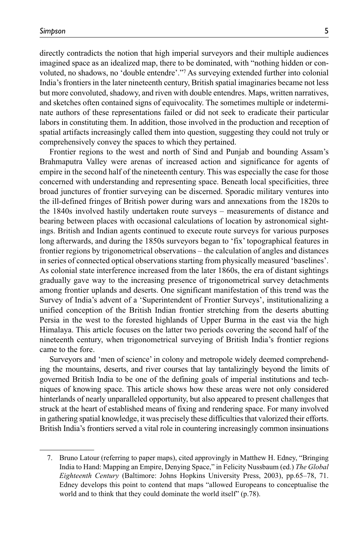directly contradicts the notion that high imperial surveyors and their multiple audiences imagined space as an idealized map, there to be dominated, with "nothing hidden or convoluted, no shadows, no 'double entendre'."7 As surveying extended further into colonial India's frontiers in the later nineteenth century, British spatial imaginaries became not less but more convoluted, shadowy, and riven with double entendres. Maps, written narratives, and sketches often contained signs of equivocality. The sometimes multiple or indeterminate authors of these representations failed or did not seek to eradicate their particular labors in constituting them. In addition, those involved in the production and reception of spatial artifacts increasingly called them into question, suggesting they could not truly or comprehensively convey the spaces to which they pertained.

Frontier regions to the west and north of Sind and Punjab and bounding Assam's Brahmaputra Valley were arenas of increased action and significance for agents of empire in the second half of the nineteenth century. This was especially the case for those concerned with understanding and representing space. Beneath local specificities, three broad junctures of frontier surveying can be discerned. Sporadic military ventures into the ill-defined fringes of British power during wars and annexations from the 1820s to the 1840s involved hastily undertaken route surveys – measurements of distance and bearing between places with occasional calculations of location by astronomical sightings. British and Indian agents continued to execute route surveys for various purposes long afterwards, and during the 1850s surveyors began to 'fix' topographical features in frontier regions by trigonometrical observations – the calculation of angles and distances in series of connected optical observations starting from physically measured 'baselines'. As colonial state interference increased from the later 1860s, the era of distant sightings gradually gave way to the increasing presence of trigonometrical survey detachments among frontier uplands and deserts. One significant manifestation of this trend was the Survey of India's advent of a 'Superintendent of Frontier Surveys', institutionalizing a unified conception of the British Indian frontier stretching from the deserts abutting Persia in the west to the forested highlands of Upper Burma in the east via the high Himalaya. This article focuses on the latter two periods covering the second half of the nineteenth century, when trigonometrical surveying of British India's frontier regions came to the fore.

Surveyors and 'men of science' in colony and metropole widely deemed comprehending the mountains, deserts, and river courses that lay tantalizingly beyond the limits of governed British India to be one of the defining goals of imperial institutions and techniques of knowing space. This article shows how these areas were not only considered hinterlands of nearly unparalleled opportunity, but also appeared to present challenges that struck at the heart of established means of fixing and rendering space. For many involved in gathering spatial knowledge, it was precisely these difficulties that valorized their efforts. British India's frontiers served a vital role in countering increasingly common insinuations

 <sup>7.</sup> Bruno Latour (referring to paper maps), cited approvingly in Matthew H. Edney, "Bringing India to Hand: Mapping an Empire, Denying Space," in Felicity Nussbaum (ed.) *The Global Eighteenth Century* (Baltimore: Johns Hopkins University Press, 2003), pp.65–78, 71. Edney develops this point to contend that maps "allowed Europeans to conceptualise the world and to think that they could dominate the world itself" (p.78).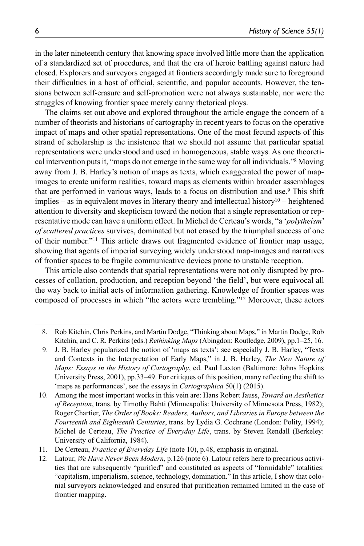in the later nineteenth century that knowing space involved little more than the application of a standardized set of procedures, and that the era of heroic battling against nature had closed. Explorers and surveyors engaged at frontiers accordingly made sure to foreground their difficulties in a host of official, scientific, and popular accounts. However, the tensions between self-erasure and self-promotion were not always sustainable, nor were the struggles of knowing frontier space merely canny rhetorical ploys.

The claims set out above and explored throughout the article engage the concern of a number of theorists and historians of cartography in recent years to focus on the operative impact of maps and other spatial representations. One of the most fecund aspects of this strand of scholarship is the insistence that we should not assume that particular spatial representations were understood and used in homogeneous, stable ways. As one theoretical intervention puts it, "maps do not emerge in the same way for all individuals."8 Moving away from J. B. Harley's notion of maps as texts, which exaggerated the power of mapimages to create uniform realities, toward maps as elements within broader assemblages that are performed in various ways, leads to a focus on distribution and use.9 This shift implies – as in equivalent moves in literary theory and intellectual history<sup>10</sup> – heightened attention to diversity and skepticism toward the notion that a single representation or representative mode can have a uniform effect. In Michel de Certeau's words, "a '*polytheism*' *of scattered practices* survives, dominated but not erased by the triumphal success of one of their number."11 This article draws out fragmented evidence of frontier map usage, showing that agents of imperial surveying widely understood map-images and narratives of frontier spaces to be fragile communicative devices prone to unstable reception.

This article also contends that spatial representations were not only disrupted by processes of collation, production, and reception beyond 'the field', but were equivocal all the way back to initial acts of information gathering. Knowledge of frontier spaces was composed of processes in which "the actors were trembling."12 Moreover, these actors

 <sup>8.</sup> Rob Kitchin, Chris Perkins, and Martin Dodge, "Thinking about Maps," in Martin Dodge, Rob Kitchin, and C. R. Perkins (eds.) *Rethinking Maps* (Abingdon: Routledge, 2009), pp.1–25, 16.

 <sup>9.</sup> J. B. Harley popularized the notion of 'maps as texts'; see especially J. B. Harley, "Texts and Contexts in the Interpretation of Early Maps," in J. B. Harley, *The New Nature of Maps: Essays in the History of Cartography*, ed. Paul Laxton (Baltimore: Johns Hopkins University Press, 2001), pp.33–49. For critiques of this position, many reflecting the shift to 'maps as performances', see the essays in *Cartographica* 50(1) (2015).

<sup>10.</sup> Among the most important works in this vein are: Hans Robert Jauss, *Toward an Aesthetics of Reception*, trans. by Timothy Bahti (Minneapolis: University of Minnesota Press, 1982); Roger Chartier, *The Order of Books: Readers, Authors, and Libraries in Europe between the Fourteenth and Eighteenth Centuries*, trans. by Lydia G. Cochrane (London: Polity, 1994); Michel de Certeau, *The Practice of Everyday Life*, trans. by Steven Rendall (Berkeley: University of California, 1984).

<sup>11.</sup> De Certeau, *Practice of Everyday Life* (note 10), p.48, emphasis in original.

<sup>12.</sup> Latour, *We Have Never Been Modern*, p.126 (note 6). Latour refers here to precarious activities that are subsequently "purified" and constituted as aspects of "formidable" totalities: "capitalism, imperialism, science, technology, domination." In this article, I show that colonial surveyors acknowledged and ensured that purification remained limited in the case of frontier mapping.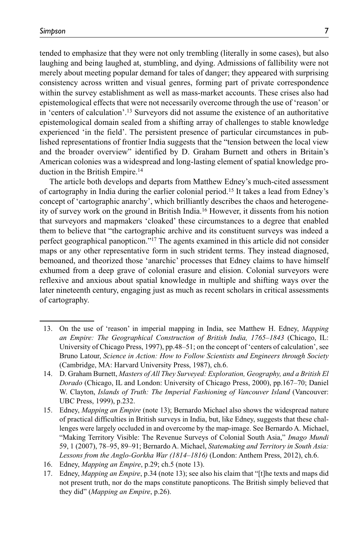tended to emphasize that they were not only trembling (literally in some cases), but also laughing and being laughed at, stumbling, and dying. Admissions of fallibility were not merely about meeting popular demand for tales of danger; they appeared with surprising consistency across written and visual genres, forming part of private correspondence within the survey establishment as well as mass-market accounts. These crises also had epistemological effects that were not necessarily overcome through the use of 'reason' or in 'centers of calculation'.13 Surveyors did not assume the existence of an authoritative epistemological domain sealed from a shifting array of challenges to stable knowledge experienced 'in the field'. The persistent presence of particular circumstances in published representations of frontier India suggests that the "tension between the local view and the broader overview" identified by D. Graham Burnett and others in Britain's American colonies was a widespread and long-lasting element of spatial knowledge production in the British Empire.<sup>14</sup>

The article both develops and departs from Matthew Edney's much-cited assessment of cartography in India during the earlier colonial period.15 It takes a lead from Edney's concept of 'cartographic anarchy', which brilliantly describes the chaos and heterogeneity of survey work on the ground in British India.16 However, it dissents from his notion that surveyors and mapmakers 'cloaked' these circumstances to a degree that enabled them to believe that "the cartographic archive and its constituent surveys was indeed a perfect geographical panopticon."17 The agents examined in this article did not consider maps or any other representative form in such strident terms. They instead diagnosed, bemoaned, and theorized those 'anarchic' processes that Edney claims to have himself exhumed from a deep grave of colonial erasure and elision. Colonial surveyors were reflexive and anxious about spatial knowledge in multiple and shifting ways over the later nineteenth century, engaging just as much as recent scholars in critical assessments of cartography.

<sup>13.</sup> On the use of 'reason' in imperial mapping in India, see Matthew H. Edney, *Mapping an Empire: The Geographical Construction of British India, 1765–1843* (Chicago, IL: University of Chicago Press, 1997), pp.48–51; on the concept of 'centers of calculation', see Bruno Latour, *Science in Action: How to Follow Scientists and Engineers through Society* (Cambridge, MA: Harvard University Press, 1987), ch.6.

<sup>14.</sup> D. Graham Burnett, *Masters of All They Surveyed: Exploration, Geography, and a British El Dorado* (Chicago, IL and London: University of Chicago Press, 2000), pp.167–70; Daniel W. Clayton, *Islands of Truth: The Imperial Fashioning of Vancouver Island* (Vancouver: UBC Press, 1999), p.232.

<sup>15.</sup> Edney, *Mapping an Empire* (note 13); Bernardo Michael also shows the widespread nature of practical difficulties in British surveys in India, but, like Edney, suggests that these challenges were largely occluded in and overcome by the map-image. See Bernardo A. Michael, "Making Territory Visible: The Revenue Surveys of Colonial South Asia," *Imago Mundi* 59, 1 (2007), 78–95, 89–91; Bernardo A. Michael, *Statemaking and Territory in South Asia: Lessons from the Anglo-Gorkha War (1814–1816)* (London: Anthem Press, 2012), ch.6.

<sup>16.</sup> Edney, *Mapping an Empire*, p.29; ch.5 (note 13).

<sup>17.</sup> Edney, *Mapping an Empire*, p.34 (note 13); see also his claim that "[t]he texts and maps did not present truth, nor do the maps constitute panopticons. The British simply believed that they did" (*Mapping an Empire*, p.26).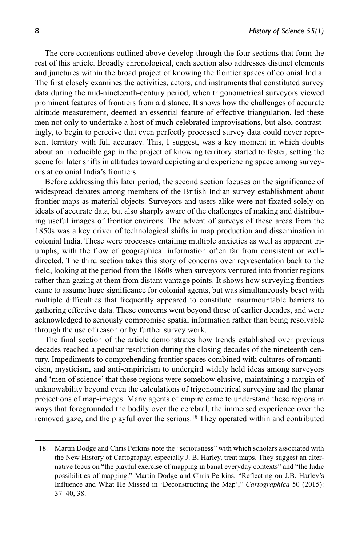The core contentions outlined above develop through the four sections that form the rest of this article. Broadly chronological, each section also addresses distinct elements and junctures within the broad project of knowing the frontier spaces of colonial India. The first closely examines the activities, actors, and instruments that constituted survey data during the mid-nineteenth-century period, when trigonometrical surveyors viewed prominent features of frontiers from a distance. It shows how the challenges of accurate altitude measurement, deemed an essential feature of effective triangulation, led these men not only to undertake a host of much celebrated improvisations, but also, contrastingly, to begin to perceive that even perfectly processed survey data could never represent territory with full accuracy. This, I suggest, was a key moment in which doubts about an irreducible gap in the project of knowing territory started to fester, setting the scene for later shifts in attitudes toward depicting and experiencing space among surveyors at colonial India's frontiers.

Before addressing this later period, the second section focuses on the significance of widespread debates among members of the British Indian survey establishment about frontier maps as material objects. Surveyors and users alike were not fixated solely on ideals of accurate data, but also sharply aware of the challenges of making and distributing useful images of frontier environs. The advent of surveys of these areas from the 1850s was a key driver of technological shifts in map production and dissemination in colonial India. These were processes entailing multiple anxieties as well as apparent triumphs, with the flow of geographical information often far from consistent or welldirected. The third section takes this story of concerns over representation back to the field, looking at the period from the 1860s when surveyors ventured into frontier regions rather than gazing at them from distant vantage points. It shows how surveying frontiers came to assume huge significance for colonial agents, but was simultaneously beset with multiple difficulties that frequently appeared to constitute insurmountable barriers to gathering effective data. These concerns went beyond those of earlier decades, and were acknowledged to seriously compromise spatial information rather than being resolvable through the use of reason or by further survey work.

The final section of the article demonstrates how trends established over previous decades reached a peculiar resolution during the closing decades of the nineteenth century. Impediments to comprehending frontier spaces combined with cultures of romanticism, mysticism, and anti-empiricism to undergird widely held ideas among surveyors and 'men of science' that these regions were somehow elusive, maintaining a margin of unknowability beyond even the calculations of trigonometrical surveying and the planar projections of map-images. Many agents of empire came to understand these regions in ways that foregrounded the bodily over the cerebral, the immersed experience over the removed gaze, and the playful over the serious.18 They operated within and contributed

<sup>18.</sup> Martin Dodge and Chris Perkins note the "seriousness" with which scholars associated with the New History of Cartography, especially J. B. Harley, treat maps. They suggest an alternative focus on "the playful exercise of mapping in banal everyday contexts" and "the ludic possibilities of mapping." Martin Dodge and Chris Perkins, "Reflecting on J.B. Harley's Influence and What He Missed in 'Deconstructing the Map'," *Cartographica* 50 (2015): 37–40, 38.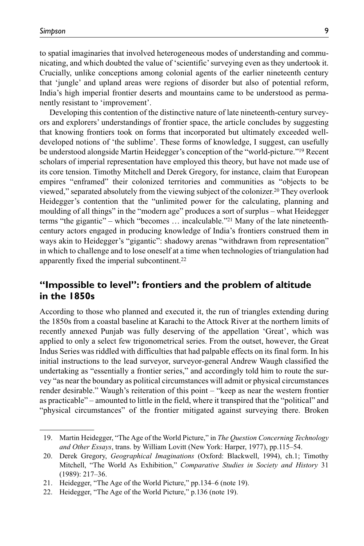to spatial imaginaries that involved heterogeneous modes of understanding and communicating, and which doubted the value of 'scientific' surveying even as they undertook it. Crucially, unlike conceptions among colonial agents of the earlier nineteenth century that 'jungle' and upland areas were regions of disorder but also of potential reform, India's high imperial frontier deserts and mountains came to be understood as permanently resistant to 'improvement'.

Developing this contention of the distinctive nature of late nineteenth-century surveyors and explorers' understandings of frontier space, the article concludes by suggesting that knowing frontiers took on forms that incorporated but ultimately exceeded welldeveloped notions of 'the sublime'. These forms of knowledge, I suggest, can usefully be understood alongside Martin Heidegger's conception of the "world-picture."19 Recent scholars of imperial representation have employed this theory, but have not made use of its core tension. Timothy Mitchell and Derek Gregory, for instance, claim that European empires "enframed" their colonized territories and communities as "objects to be viewed," separated absolutely from the viewing subject of the colonizer.20 They overlook Heidegger's contention that the "unlimited power for the calculating, planning and moulding of all things" in the "modern age" produces a sort of surplus – what Heidegger terms "the gigantic" – which "becomes … incalculable."21 Many of the late nineteenthcentury actors engaged in producing knowledge of India's frontiers construed them in ways akin to Heidegger's "gigantic": shadowy arenas "withdrawn from representation" in which to challenge and to lose oneself at a time when technologies of triangulation had apparently fixed the imperial subcontinent.22

## **"Impossible to level": frontiers and the problem of altitude in the 1850s**

According to those who planned and executed it, the run of triangles extending during the 1850s from a coastal baseline at Karachi to the Attock River at the northern limits of recently annexed Punjab was fully deserving of the appellation 'Great', which was applied to only a select few trigonometrical series. From the outset, however, the Great Indus Series was riddled with difficulties that had palpable effects on its final form. In his initial instructions to the lead surveyor, surveyor-general Andrew Waugh classified the undertaking as "essentially a frontier series," and accordingly told him to route the survey "as near the boundary as political circumstances will admit or physical circumstances render desirable." Waugh's reiteration of this point – "keep as near the western frontier as practicable" – amounted to little in the field, where it transpired that the "political" and "physical circumstances" of the frontier mitigated against surveying there. Broken

<sup>19.</sup> Martin Heidegger, "The Age of the World Picture," in *The Question Concerning Technology and Other Essays*, trans. by William Lovitt (New York: Harper, 1977), pp.115–54.

<sup>20.</sup> Derek Gregory, *Geographical Imaginations* (Oxford: Blackwell, 1994), ch.1; Timothy Mitchell, "The World As Exhibition," *Comparative Studies in Society and History* 31 (1989): 217–36.

<sup>21.</sup> Heidegger, "The Age of the World Picture," pp.134–6 (note 19).

<sup>22.</sup> Heidegger, "The Age of the World Picture," p.136 (note 19).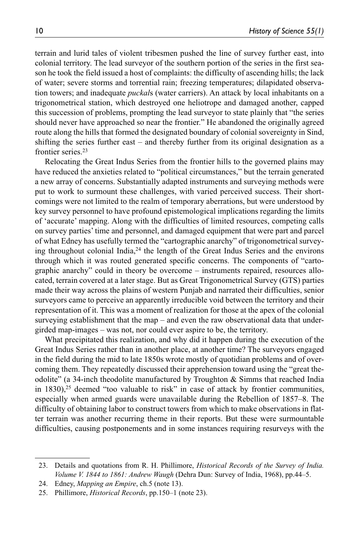terrain and lurid tales of violent tribesmen pushed the line of survey further east, into colonial territory. The lead surveyor of the southern portion of the series in the first season he took the field issued a host of complaints: the difficulty of ascending hills; the lack of water; severe storms and torrential rain; freezing temperatures; dilapidated observation towers; and inadequate *puckal*s (water carriers). An attack by local inhabitants on a trigonometrical station, which destroyed one heliotrope and damaged another, capped this succession of problems, prompting the lead surveyor to state plainly that "the series should never have approached so near the frontier." He abandoned the originally agreed route along the hills that formed the designated boundary of colonial sovereignty in Sind, shifting the series further east – and thereby further from its original designation as a frontier series.23

Relocating the Great Indus Series from the frontier hills to the governed plains may have reduced the anxieties related to "political circumstances," but the terrain generated a new array of concerns. Substantially adapted instruments and surveying methods were put to work to surmount these challenges, with varied perceived success. Their shortcomings were not limited to the realm of temporary aberrations, but were understood by key survey personnel to have profound epistemological implications regarding the limits of 'accurate' mapping. Along with the difficulties of limited resources, competing calls on survey parties' time and personnel, and damaged equipment that were part and parcel of what Edney has usefully termed the "cartographic anarchy" of trigonometrical surveying throughout colonial India, $24$  the length of the Great Indus Series and the environs through which it was routed generated specific concerns. The components of "cartographic anarchy" could in theory be overcome – instruments repaired, resources allocated, terrain covered at a later stage. But as Great Trigonometrical Survey (GTS) parties made their way across the plains of western Punjab and narrated their difficulties, senior surveyors came to perceive an apparently irreducible void between the territory and their representation of it. This was a moment of realization for those at the apex of the colonial surveying establishment that the map – and even the raw observational data that undergirded map-images – was not, nor could ever aspire to be, the territory.

What precipitated this realization, and why did it happen during the execution of the Great Indus Series rather than in another place, at another time? The surveyors engaged in the field during the mid to late 1850s wrote mostly of quotidian problems and of overcoming them. They repeatedly discussed their apprehension toward using the "great theodolite" (a 34-inch theodolite manufactured by Troughton & Simms that reached India in  $1830$ ,<sup>25</sup> deemed "too valuable to risk" in case of attack by frontier communities, especially when armed guards were unavailable during the Rebellion of 1857–8. The difficulty of obtaining labor to construct towers from which to make observations in flatter terrain was another recurring theme in their reports. But these were surmountable difficulties, causing postponements and in some instances requiring resurveys with the

<sup>23.</sup> Details and quotations from R. H. Phillimore, *Historical Records of the Survey of India. Volume V. 1844 to 1861: Andrew Waugh* (Dehra Dun: Survey of India, 1968), pp.44–5.

<sup>24.</sup> Edney, *Mapping an Empire*, ch.5 (note 13).

<sup>25.</sup> Phillimore, *Historical Records*, pp.150–1 (note 23).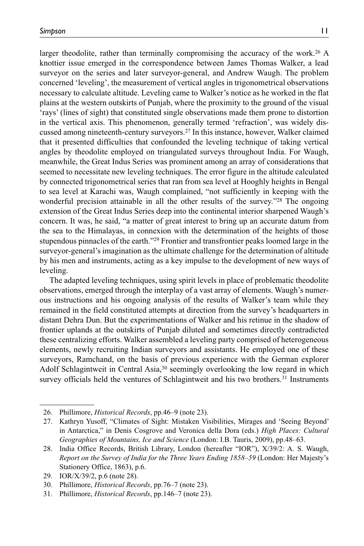larger theodolite, rather than terminally compromising the accuracy of the work.26 A knottier issue emerged in the correspondence between James Thomas Walker, a lead surveyor on the series and later surveyor-general, and Andrew Waugh. The problem concerned 'leveling', the measurement of vertical angles in trigonometrical observations necessary to calculate altitude. Leveling came to Walker's notice as he worked in the flat plains at the western outskirts of Punjab, where the proximity to the ground of the visual 'rays' (lines of sight) that constituted single observations made them prone to distortion in the vertical axis. This phenomenon, generally termed 'refraction', was widely discussed among nineteenth-century surveyors.27 In this instance, however, Walker claimed that it presented difficulties that confounded the leveling technique of taking vertical angles by theodolite employed on triangulated surveys throughout India. For Waugh, meanwhile, the Great Indus Series was prominent among an array of considerations that seemed to necessitate new leveling techniques. The error figure in the altitude calculated by connected trigonometrical series that ran from sea level at Hooghly heights in Bengal to sea level at Karachi was, Waugh complained, "not sufficiently in keeping with the wonderful precision attainable in all the other results of the survey."<sup>28</sup> The ongoing extension of the Great Indus Series deep into the continental interior sharpened Waugh's concern. It was, he said, "a matter of great interest to bring up an accurate datum from the sea to the Himalayas, in connexion with the determination of the heights of those stupendous pinnacles of the earth."29 Frontier and transfrontier peaks loomed large in the surveyor-general's imagination as the ultimate challenge for the determination of altitude by his men and instruments, acting as a key impulse to the development of new ways of leveling.

The adapted leveling techniques, using spirit levels in place of problematic theodolite observations, emerged through the interplay of a vast array of elements. Waugh's numerous instructions and his ongoing analysis of the results of Walker's team while they remained in the field constituted attempts at direction from the survey's headquarters in distant Dehra Dun. But the experimentations of Walker and his retinue in the shadow of frontier uplands at the outskirts of Punjab diluted and sometimes directly contradicted these centralizing efforts. Walker assembled a leveling party comprised of heterogeneous elements, newly recruiting Indian surveyors and assistants. He employed one of these surveyors, Ramchand, on the basis of previous experience with the German explorer Adolf Schlagintweit in Central Asia,<sup>30</sup> seemingly overlooking the low regard in which survey officials held the ventures of Schlagintweit and his two brothers.<sup>31</sup> Instruments

<sup>26.</sup> Phillimore, *Historical Records*, pp.46–9 (note 23).

<sup>27.</sup> Kathryn Yusoff, "Climates of Sight: Mistaken Visibilities, Mirages and 'Seeing Beyond' in Antarctica," in Denis Cosgrove and Veronica della Dora (eds.) *High Places: Cultural Geographies of Mountains, Ice and Science* (London: I.B. Tauris, 2009), pp.48–63.

<sup>28.</sup> India Office Records, British Library, London (hereafter "IOR"), X/39/2: A. S. Waugh, *Report on the Survey of India for the Three Years Ending 1858–59* (London: Her Majesty's Stationery Office, 1863), p.6.

<sup>29.</sup> IOR/X/39/2, p.6 (note 28).

<sup>30.</sup> Phillimore, *Historical Records*, pp.76–7 (note 23).

<sup>31.</sup> Phillimore, *Historical Records*, pp.146–7 (note 23).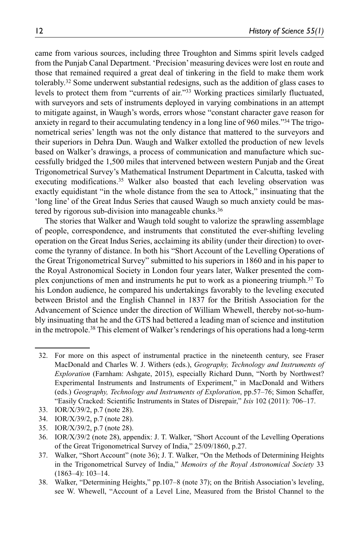came from various sources, including three Troughton and Simms spirit levels cadged from the Punjab Canal Department. 'Precision' measuring devices were lost en route and those that remained required a great deal of tinkering in the field to make them work tolerably.32 Some underwent substantial redesigns, such as the addition of glass cases to levels to protect them from "currents of air."33 Working practices similarly fluctuated, with surveyors and sets of instruments deployed in varying combinations in an attempt to mitigate against, in Waugh's words, errors whose "constant character gave reason for anxiety in regard to their accumulating tendency in a long line of 960 miles."34 The trigonometrical series' length was not the only distance that mattered to the surveyors and their superiors in Dehra Dun. Waugh and Walker extolled the production of new levels based on Walker's drawings, a process of communication and manufacture which successfully bridged the 1,500 miles that intervened between western Punjab and the Great Trigonometrical Survey's Mathematical Instrument Department in Calcutta, tasked with executing modifications.35 Walker also boasted that each leveling observation was exactly equidistant "in the whole distance from the sea to Attock," insinuating that the 'long line' of the Great Indus Series that caused Waugh so much anxiety could be mastered by rigorous sub-division into manageable chunks.36

The stories that Walker and Waugh told sought to valorize the sprawling assemblage of people, correspondence, and instruments that constituted the ever-shifting leveling operation on the Great Indus Series, acclaiming its ability (under their direction) to overcome the tyranny of distance. In both his "Short Account of the Levelling Operations of the Great Trigonometrical Survey" submitted to his superiors in 1860 and in his paper to the Royal Astronomical Society in London four years later, Walker presented the complex conjunctions of men and instruments he put to work as a pioneering triumph.37 To his London audience, he compared his undertakings favorably to the leveling executed between Bristol and the English Channel in 1837 for the British Association for the Advancement of Science under the direction of William Whewell, thereby not-so-humbly insinuating that he and the GTS had bettered a leading man of science and institution in the metropole.38 This element of Walker's renderings of his operations had a long-term

- 33. IOR/X/39/2, p.7 (note 28).
- 34. IOR/X/39/2, p.7 (note 28).
- 35. IOR/X/39/2, p.7 (note 28).
- 36. IOR/X/39/2 (note 28), appendix: J. T. Walker, "Short Account of the Levelling Operations of the Great Trigonometrical Survey of India," 25/09/1860, p.27.
- 37. Walker, "Short Account" (note 36); J. T. Walker, "On the Methods of Determining Heights in the Trigonometrical Survey of India," *Memoirs of the Royal Astronomical Society* 33 (1863–4): 103–14.
- 38. Walker, "Determining Heights," pp.107–8 (note 37); on the British Association's leveling, see W. Whewell, "Account of a Level Line, Measured from the Bristol Channel to the

<sup>32.</sup> For more on this aspect of instrumental practice in the nineteenth century, see Fraser MacDonald and Charles W. J. Withers (eds.), *Geography, Technology and Instruments of Exploration* (Farnham: Ashgate, 2015), especially Richard Dunn, "North by Northwest? Experimental Instruments and Instruments of Experiment," in MacDonald and Withers (eds.) *Geography, Technology and Instruments of Exploration*, pp.57–76; Simon Schaffer, "Easily Cracked: Scientific Instruments in States of Disrepair," *Isis* 102 (2011): 706–17.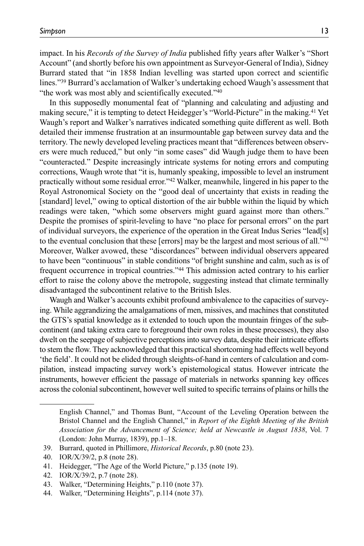impact. In his *Records of the Survey of India* published fifty years after Walker's "Short Account" (and shortly before his own appointment as Surveyor-General of India), Sidney Burrard stated that "in 1858 Indian levelling was started upon correct and scientific lines."39 Burrard's acclamation of Walker's undertaking echoed Waugh's assessment that "the work was most ably and scientifically executed."40

In this supposedly monumental feat of "planning and calculating and adjusting and making secure," it is tempting to detect Heidegger's "World-Picture" in the making.41 Yet Waugh's report and Walker's narratives indicated something quite different as well. Both detailed their immense frustration at an insurmountable gap between survey data and the territory. The newly developed leveling practices meant that "differences between observers were much reduced," but only "in some cases" did Waugh judge them to have been "counteracted." Despite increasingly intricate systems for noting errors and computing corrections, Waugh wrote that "it is, humanly speaking, impossible to level an instrument practically without some residual error."42 Walker, meanwhile, lingered in his paper to the Royal Astronomical Society on the "good deal of uncertainty that exists in reading the [standard] level," owing to optical distortion of the air bubble within the liquid by which readings were taken, "which some observers might guard against more than others." Despite the promises of spirit-leveling to have "no place for personal errors" on the part of individual surveyors, the experience of the operation in the Great Indus Series "lead[s] to the eventual conclusion that these [errors] may be the largest and most serious of all."<sup>43</sup> Moreover, Walker avowed, these "discordances" between individual observers appeared to have been "continuous" in stable conditions "of bright sunshine and calm, such as is of frequent occurrence in tropical countries."44 This admission acted contrary to his earlier effort to raise the colony above the metropole, suggesting instead that climate terminally disadvantaged the subcontinent relative to the British Isles.

Waugh and Walker's accounts exhibit profound ambivalence to the capacities of surveying. While aggrandizing the amalgamations of men, missives, and machines that constituted the GTS's spatial knowledge as it extended to touch upon the mountain fringes of the subcontinent (and taking extra care to foreground their own roles in these processes), they also dwelt on the seepage of subjective perceptions into survey data, despite their intricate efforts to stem the flow. They acknowledged that this practical shortcoming had effects well beyond 'the field'. It could not be elided through sleights-of-hand in centers of calculation and compilation, instead impacting survey work's epistemological status. However intricate the instruments, however efficient the passage of materials in networks spanning key offices across the colonial subcontinent, however well suited to specific terrains of plains or hills the

English Channel," and Thomas Bunt, "Account of the Leveling Operation between the Bristol Channel and the English Channel," in *Report of the Eighth Meeting of the British Association for the Advancement of Science; held at Newcastle in August 1838*, Vol. 7 (London: John Murray, 1839), pp.1–18.

<sup>39.</sup> Burrard, quoted in Phillimore, *Historical Records*, p.80 (note 23).

<sup>40.</sup> IOR/X/39/2, p.8 (note 28).

<sup>41.</sup> Heidegger, "The Age of the World Picture," p.135 (note 19).

<sup>42.</sup> IOR/X/39/2, p.7 (note 28).

<sup>43.</sup> Walker, "Determining Heights," p.110 (note 37).

<sup>44.</sup> Walker, "Determining Heights", p.114 (note 37).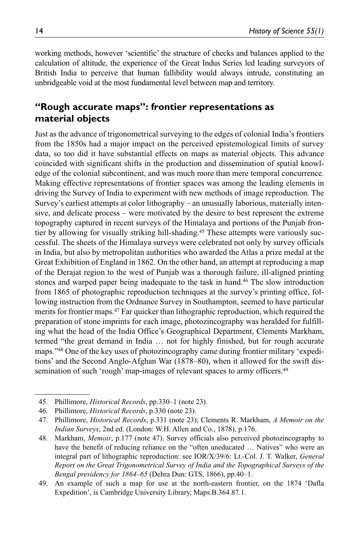working methods, however 'scientific' the structure of checks and balances applied to the calculation of altitude, the experience of the Great Indus Series led leading surveyors of British India to perceive that human fallibility would always intrude, constituting an unbridgeable void at the most fundamental level between map and territory.

## **"Rough accurate maps": frontier representations as material objects**

Just as the advance of trigonometrical surveying to the edges of colonial India's frontiers from the 1850s had a major impact on the perceived epistemological limits of survey data, so too did it have substantial effects on maps as material objects. This advance coincided with significant shifts in the production and dissemination of spatial knowledge of the colonial subcontinent, and was much more than mere temporal concurrence. Making effective representations of frontier spaces was among the leading elements in driving the Survey of India to experiment with new methods of image reproduction. The Survey's earliest attempts at color lithography – an unusually laborious, materially intensive, and delicate process – were motivated by the desire to best represent the extreme topography captured in recent surveys of the Himalaya and portions of the Punjab frontier by allowing for visually striking hill-shading.45 These attempts were variously successful. The sheets of the Himalaya surveys were celebrated not only by survey officials in India, but also by metropolitan authorities who awarded the Atlas a prize medal at the Great Exhibition of England in 1862. On the other hand, an attempt at reproducing a map of the Derajat region to the west of Punjab was a thorough failure, ill-aligned printing stones and warped paper being inadequate to the task in hand.<sup>46</sup> The slow introduction from 1865 of photographic reproduction techniques at the survey's printing office, following instruction from the Ordnance Survey in Southampton, seemed to have particular merits for frontier maps.<sup>47</sup> Far quicker than lithographic reproduction, which required the preparation of stone imprints for each image, photozincography was heralded for fulfilling what the head of the India Office's Geographical Department, Clements Markham, termed "the great demand in India … not for highly finished, but for rough accurate maps."48 One of the key uses of photozincography came during frontier military 'expeditions' and the Second Anglo-Afghan War (1878–80), when it allowed for the swift dissemination of such 'rough' map-images of relevant spaces to army officers.<sup>49</sup>

<sup>45.</sup> Phillimore, *Historical Records*, pp.330–1 (note 23).

<sup>46.</sup> Phillimore, *Historical Records*, p.330 (note 23).

<sup>47.</sup> Phillimore, *Historical Records*, p.331 (note 23); Clements R. Markham, *A Memoir on the Indian Surveys*, 2nd ed. (London: W.H. Allen and Co., 1878), p.176.

<sup>48.</sup> Markham, *Memoir*, p.177 (note 47). Survey officials also perceived photozincography to have the benefit of reducing reliance on the "often uneducated … Natives" who were an integral part of lithographic reproduction: see IOR/X/39/6: Lt.-Col. J. T. Walker, *General Report on the Great Trigonometrical Survey of India and the Topographical Surveys of the Bengal presidency for 1864–65* (Dehra Dun: GTS, 1866), pp.40–1.

<sup>49.</sup> An example of such a map for use at the north-eastern frontier, on the 1874 'Dafla Expedition', is Cambridge University Library, Maps.B.364.87.1.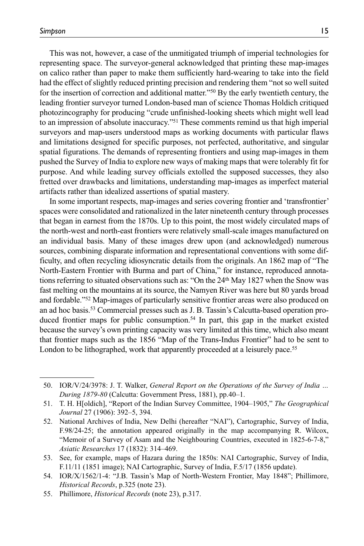This was not, however, a case of the unmitigated triumph of imperial technologies for representing space. The surveyor-general acknowledged that printing these map-images on calico rather than paper to make them sufficiently hard-wearing to take into the field had the effect of slightly reduced printing precision and rendering them "not so well suited for the insertion of correction and additional matter."50 By the early twentieth century, the leading frontier surveyor turned London-based man of science Thomas Holdich critiqued photozincography for producing "crude unfinished-looking sheets which might well lead to an impression of absolute inaccuracy."51 These comments remind us that high imperial surveyors and map-users understood maps as working documents with particular flaws and limitations designed for specific purposes, not perfected, authoritative, and singular spatial figurations. The demands of representing frontiers and using map-images in them pushed the Survey of India to explore new ways of making maps that were tolerably fit for purpose. And while leading survey officials extolled the supposed successes, they also fretted over drawbacks and limitations, understanding map-images as imperfect material artifacts rather than idealized assertions of spatial mastery.

In some important respects, map-images and series covering frontier and 'transfrontier' spaces were consolidated and rationalized in the later nineteenth century through processes that began in earnest from the 1870s. Up to this point, the most widely circulated maps of the north-west and north-east frontiers were relatively small-scale images manufactured on an individual basis. Many of these images drew upon (and acknowledged) numerous sources, combining disparate information and representational conventions with some difficulty, and often recycling idiosyncratic details from the originals. An 1862 map of "The North-Eastern Frontier with Burma and part of China," for instance, reproduced annotations referring to situated observations such as: "On the 24<sup>th</sup> May 1827 when the Snow was fast melting on the mountains at its source, the Namyen River was here but 80 yards broad and fordable."52 Map-images of particularly sensitive frontier areas were also produced on an ad hoc basis.53 Commercial presses such as J. B. Tassin's Calcutta-based operation produced frontier maps for public consumption.54 In part, this gap in the market existed because the survey's own printing capacity was very limited at this time, which also meant that frontier maps such as the 1856 "Map of the Trans-Indus Frontier" had to be sent to London to be lithographed, work that apparently proceeded at a leisurely pace.<sup>55</sup>

<sup>50.</sup> IOR/V/24/3978: J. T. Walker, *General Report on the Operations of the Survey of India … During 1879-80* (Calcutta: Government Press, 1881), pp.40–1.

<sup>51.</sup> T. H. H[oldich], "Report of the Indian Survey Committee, 1904–1905," *The Geographical Journal* 27 (1906): 392–5, 394.

<sup>52.</sup> National Archives of India, New Delhi (hereafter "NAI"), Cartographic, Survey of India, F.98/24-25; the annotation appeared originally in the map accompanying R. Wilcox, "Memoir of a Survey of Asam and the Neighbouring Countries, executed in 1825-6-7-8," *Asiatic Researches* 17 (1832): 314–469.

<sup>53.</sup> See, for example, maps of Hazara during the 1850s: NAI Cartographic, Survey of India, F.11/11 (1851 image); NAI Cartographic, Survey of India, F.5/17 (1856 update).

<sup>54.</sup> IOR/X/1562/1-4: "J.B. Tassin's Map of North-Western Frontier, May 1848"; Phillimore, *Historical Records*, p.325 (note 23).

<sup>55.</sup> Phillimore, *Historical Records* (note 23), p.317.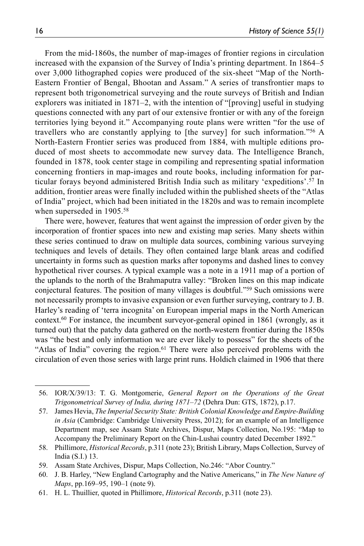From the mid-1860s, the number of map-images of frontier regions in circulation increased with the expansion of the Survey of India's printing department. In 1864–5 over 3,000 lithographed copies were produced of the six-sheet "Map of the North-Eastern Frontier of Bengal, Bhootan and Assam." A series of transfrontier maps to represent both trigonometrical surveying and the route surveys of British and Indian explorers was initiated in 1871–2, with the intention of "[proving] useful in studying questions connected with any part of our extensive frontier or with any of the foreign territories lying beyond it." Accompanying route plans were written "for the use of travellers who are constantly applying to [the survey] for such information."56 A North-Eastern Frontier series was produced from 1884, with multiple editions produced of most sheets to accommodate new survey data. The Intelligence Branch, founded in 1878, took center stage in compiling and representing spatial information concerning frontiers in map-images and route books, including information for particular forays beyond administered British India such as military 'expeditions'.57 In addition, frontier areas were finally included within the published sheets of the "Atlas of India" project, which had been initiated in the 1820s and was to remain incomplete when superseded in 1905.58

There were, however, features that went against the impression of order given by the incorporation of frontier spaces into new and existing map series. Many sheets within these series continued to draw on multiple data sources, combining various surveying techniques and levels of details. They often contained large blank areas and codified uncertainty in forms such as question marks after toponyms and dashed lines to convey hypothetical river courses. A typical example was a note in a 1911 map of a portion of the uplands to the north of the Brahmaputra valley: "Broken lines on this map indicate conjectural features. The position of many villages is doubtful."59 Such omissions were not necessarily prompts to invasive expansion or even further surveying, contrary to J. B. Harley's reading of 'terra incognita' on European imperial maps in the North American context.<sup>60</sup> For instance, the incumbent surveyor-general opined in 1861 (wrongly, as it turned out) that the patchy data gathered on the north-western frontier during the 1850s was "the best and only information we are ever likely to possess" for the sheets of the "Atlas of India" covering the region.61 There were also perceived problems with the circulation of even those series with large print runs. Holdich claimed in 1906 that there

61. H. L. Thuillier, quoted in Phillimore, *Historical Records*, p.311 (note 23).

<sup>56.</sup> IOR/X/39/13: T. G. Montgomerie, *General Report on the Operations of the Great Trigonometrical Survey of India, during 1871–72* (Dehra Dun: GTS, 1872), p.17.

<sup>57.</sup> James Hevia, *The Imperial Security State: British Colonial Knowledge and Empire-Building in Asia* (Cambridge: Cambridge University Press, 2012); for an example of an Intelligence Department map, see Assam State Archives, Dispur, Maps Collection, No.195: "Map to Accompany the Preliminary Report on the Chin-Lushai country dated December 1892."

<sup>58.</sup> Phillimore, *Historical Records*, p.311 (note 23); British Library, Maps Collection, Survey of India (S.I.) 13.

<sup>59.</sup> Assam State Archives, Dispur, Maps Collection, No.246: "Abor Country."

<sup>60.</sup> J. B. Harley, "New England Cartography and the Native Americans," in *The New Nature of Maps*, pp.169–95, 190–1 (note 9).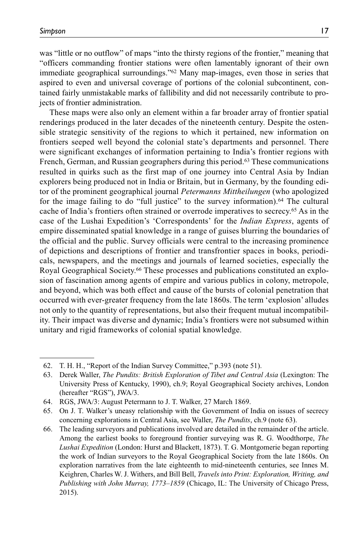was "little or no outflow" of maps "into the thirsty regions of the frontier," meaning that "officers commanding frontier stations were often lamentably ignorant of their own immediate geographical surroundings."62 Many map-images, even those in series that aspired to even and universal coverage of portions of the colonial subcontinent, contained fairly unmistakable marks of fallibility and did not necessarily contribute to projects of frontier administration.

These maps were also only an element within a far broader array of frontier spatial renderings produced in the later decades of the nineteenth century. Despite the ostensible strategic sensitivity of the regions to which it pertained, new information on frontiers seeped well beyond the colonial state's departments and personnel. There were significant exchanges of information pertaining to India's frontier regions with French, German, and Russian geographers during this period.63 These communications resulted in quirks such as the first map of one journey into Central Asia by Indian explorers being produced not in India or Britain, but in Germany, by the founding editor of the prominent geographical journal *Petermanns Mittheilungen* (who apologized for the image failing to do "full justice" to the survey information).64 The cultural cache of India's frontiers often strained or overrode imperatives to secrecy.65 As in the case of the Lushai Expedition's 'Correspondents' for the *Indian Express*, agents of empire disseminated spatial knowledge in a range of guises blurring the boundaries of the official and the public. Survey officials were central to the increasing prominence of depictions and descriptions of frontier and transfrontier spaces in books, periodicals, newspapers, and the meetings and journals of learned societies, especially the Royal Geographical Society.66 These processes and publications constituted an explosion of fascination among agents of empire and various publics in colony, metropole, and beyond, which was both effect and cause of the bursts of colonial penetration that occurred with ever-greater frequency from the late 1860s. The term 'explosion' alludes not only to the quantity of representations, but also their frequent mutual incompatibility. Their impact was diverse and dynamic; India's frontiers were not subsumed within unitary and rigid frameworks of colonial spatial knowledge.

<sup>62.</sup> T. H. H., "Report of the Indian Survey Committee," p.393 (note 51).

<sup>63.</sup> Derek Waller, *The Pundits: British Exploration of Tibet and Central Asia* (Lexington: The University Press of Kentucky, 1990), ch.9; Royal Geographical Society archives, London (hereafter "RGS"), JWA/3.

<sup>64.</sup> RGS, JWA/3: August Petermann to J. T. Walker, 27 March 1869.

<sup>65.</sup> On J. T. Walker's uneasy relationship with the Government of India on issues of secrecy concerning explorations in Central Asia, see Waller, *The Pundits*, ch.9 (note 63).

<sup>66.</sup> The leading surveyors and publications involved are detailed in the remainder of the article. Among the earliest books to foreground frontier surveying was R. G. Woodthorpe, *The Lushai Expedition* (London: Hurst and Blackett, 1873). T. G. Montgomerie began reporting the work of Indian surveyors to the Royal Geographical Society from the late 1860s. On exploration narratives from the late eighteenth to mid-nineteenth centuries, see Innes M. Keighren, Charles W. J. Withers, and Bill Bell, *Travels into Print: Exploration, Writing, and Publishing with John Murray, 1773–1859* (Chicago, IL: The University of Chicago Press, 2015).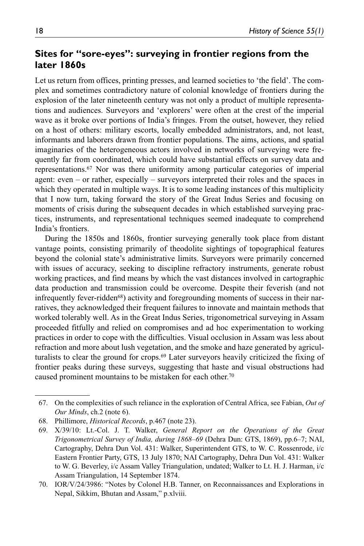# **Sites for "sore-eyes": surveying in frontier regions from the later 1860s**

Let us return from offices, printing presses, and learned societies to 'the field'. The complex and sometimes contradictory nature of colonial knowledge of frontiers during the explosion of the later nineteenth century was not only a product of multiple representations and audiences. Surveyors and 'explorers' were often at the crest of the imperial wave as it broke over portions of India's fringes. From the outset, however, they relied on a host of others: military escorts, locally embedded administrators, and, not least, informants and laborers drawn from frontier populations. The aims, actions, and spatial imaginaries of the heterogeneous actors involved in networks of surveying were frequently far from coordinated, which could have substantial effects on survey data and representations.67 Nor was there uniformity among particular categories of imperial agent: even – or rather, especially – surveyors interpreted their roles and the spaces in which they operated in multiple ways. It is to some leading instances of this multiplicity that I now turn, taking forward the story of the Great Indus Series and focusing on moments of crisis during the subsequent decades in which established surveying practices, instruments, and representational techniques seemed inadequate to comprehend India's frontiers.

During the 1850s and 1860s, frontier surveying generally took place from distant vantage points, consisting primarily of theodolite sightings of topographical features beyond the colonial state's administrative limits. Surveyors were primarily concerned with issues of accuracy, seeking to discipline refractory instruments, generate robust working practices, and find means by which the vast distances involved in cartographic data production and transmission could be overcome. Despite their feverish (and not infrequently fever-ridden<sup>68</sup>) activity and foregrounding moments of success in their narratives, they acknowledged their frequent failures to innovate and maintain methods that worked tolerably well. As in the Great Indus Series, trigonometrical surveying in Assam proceeded fitfully and relied on compromises and ad hoc experimentation to working practices in order to cope with the difficulties. Visual occlusion in Assam was less about refraction and more about lush vegetation, and the smoke and haze generated by agriculturalists to clear the ground for crops.<sup>69</sup> Later surveyors heavily criticized the fixing of frontier peaks during these surveys, suggesting that haste and visual obstructions had caused prominent mountains to be mistaken for each other.70

<sup>67.</sup> On the complexities of such reliance in the exploration of Central Africa, see Fabian, *Out of Our Minds*, ch.2 (note 6).

<sup>68.</sup> Phillimore, *Historical Records*, p.467 (note 23).

<sup>69.</sup> X/39/10: Lt.-Col. J. T. Walker, *General Report on the Operations of the Great Trigonometrical Survey of India, during 1868–69* (Dehra Dun: GTS, 1869), pp.6–7; NAI, Cartography, Dehra Dun Vol. 431: Walker, Superintendent GTS, to W. C. Rossenrode, i/c Eastern Frontier Party, GTS, 13 July 1870; NAI Cartography, Dehra Dun Vol. 431: Walker to W. G. Beverley, i/c Assam Valley Triangulation, undated; Walker to Lt. H. J. Harman, i/c Assam Triangulation, 14 September 1874.

<sup>70.</sup> IOR/V/24/3986: "Notes by Colonel H.B. Tanner, on Reconnaissances and Explorations in Nepal, Sikkim, Bhutan and Assam," p.xlviii.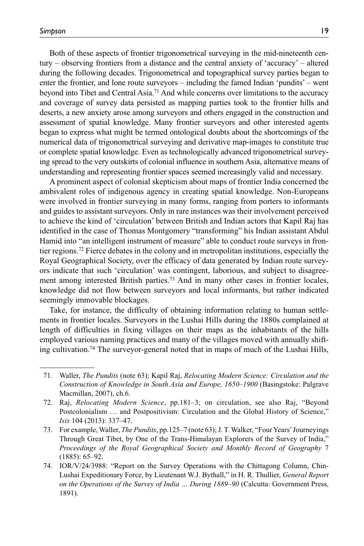Both of these aspects of frontier trigonometrical surveying in the mid-nineteenth century – observing frontiers from a distance and the central anxiety of 'accuracy' – altered during the following decades. Trigonometrical and topographical survey parties began to enter the frontier, and lone route surveyors – including the famed Indian 'pundits' – went beyond into Tibet and Central Asia.71 And while concerns over limitations to the accuracy and coverage of survey data persisted as mapping parties took to the frontier hills and deserts, a new anxiety arose among surveyors and others engaged in the construction and assessment of spatial knowledge. Many frontier surveyors and other interested agents began to express what might be termed ontological doubts about the shortcomings of the numerical data of trigonometrical surveying and derivative map-images to constitute true or complete spatial knowledge. Even as technologically advanced trigonometrical surveying spread to the very outskirts of colonial influence in southern Asia, alternative means of understanding and representing frontier spaces seemed increasingly valid and necessary.

A prominent aspect of colonial skepticism about maps of frontier India concerned the ambivalent roles of indigenous agency in creating spatial knowledge. Non-Europeans were involved in frontier surveying in many forms, ranging from porters to informants and guides to assistant surveyors. Only in rare instances was their involvement perceived to achieve the kind of 'circulation' between British and Indian actors that Kapil Raj has identified in the case of Thomas Montgomery "transforming" his Indian assistant Abdul Hamid into "an intelligent instrument of measure" able to conduct route surveys in frontier regions.72 Fierce debates in the colony and in metropolitan institutions, especially the Royal Geographical Society, over the efficacy of data generated by Indian route surveyors indicate that such 'circulation' was contingent, laborious, and subject to disagreement among interested British parties.73 And in many other cases in frontier locales, knowledge did not flow between surveyors and local informants, but rather indicated seemingly immovable blockages.

Take, for instance, the difficulty of obtaining information relating to human settlements in frontier locales. Surveyors in the Lushai Hills during the 1880s complained at length of difficulties in fixing villages on their maps as the inhabitants of the hills employed various naming practices and many of the villages moved with annually shifting cultivation.74 The surveyor-general noted that in maps of much of the Lushai Hills,

73. For example, Waller, *The Pundits*, pp.125–7 (note 63); J. T. Walker, "Four Years' Journeyings Through Great Tibet, by One of the Trans-Himalayan Explorers of the Survey of India," *Proceedings of the Royal Geographical Society and Monthly Record of Geography* 7 (1885): 65–92.

<sup>71.</sup> Waller, *The Pundits* (note 63); Kapil Raj, *Relocating Modern Science: Circulation and the Construction of Knowledge in South Asia and Europe, 1650–1900* (Basingstoke: Palgrave Macmillan, 2007), ch.6.

<sup>72.</sup> Raj, *Relocating Modern Science*, pp.181–3; on circulation, see also Raj, "Beyond Postcolonialism … and Postpositivism: Circulation and the Global History of Science," *Isis* 104 (2013): 337–47.

<sup>74.</sup> IOR/V/24/3988: "Report on the Survey Operations with the Chittagong Column, Chin-Lushai Expeditionary Force, by Lieutenant W.J. Bythall," in H. R. Thullier, *General Report on the Operations of the Survey of India … During 1889–90* (Calcutta: Government Press, 1891).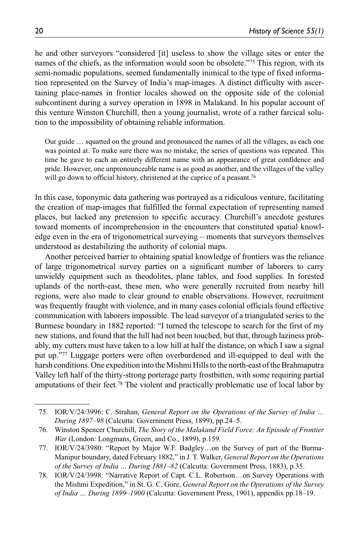he and other surveyors "considered [it] useless to show the village sites or enter the names of the chiefs, as the information would soon be obsolete."75 This region, with its semi-nomadic populations, seemed fundamentally inimical to the type of fixed information represented on the Survey of India's map-images. A distinct difficulty with ascertaining place-names in frontier locales showed on the opposite side of the colonial subcontinent during a survey operation in 1898 in Malakand. In his popular account of this venture Winston Churchill, then a young journalist, wrote of a rather farcical solution to the impossibility of obtaining reliable information.

Our guide … squatted on the ground and pronounced the names of all the villages, as each one was pointed at. To make sure there was no mistake, the series of questions was repeated. This time he gave to each an entirely different name with an appearance of great confidence and pride. However, one unpronounceable name is as good as another, and the villages of the valley will go down to official history, christened at the caprice of a peasant.<sup>76</sup>

In this case, toponymic data gathering was portrayed as a ridiculous venture, facilitating the creation of map-images that fulfilled the formal expectation of representing named places, but lacked any pretension to specific accuracy. Churchill's anecdote gestures toward moments of incomprehension in the encounters that constituted spatial knowledge even in the era of trigonometrical surveying – moments that surveyors themselves understood as destabilizing the authority of colonial maps.

Another perceived barrier to obtaining spatial knowledge of frontiers was the reliance of large trigonometrical survey parties on a significant number of laborers to carry unwieldy equipment such as theodolites, plane tables, and food supplies. In forested uplands of the north-east, these men, who were generally recruited from nearby hill regions, were also made to clear ground to enable observations. However, recruitment was frequently fraught with violence, and in many cases colonial officials found effective communication with laborers impossible. The lead surveyor of a triangulated series to the Burmese boundary in 1882 reported: "I turned the telescope to search for the first of my new stations, and found that the hill had not been touched, but that, through laziness probably, my cutters must have taken to a low hill at half the distance, on which I saw a signal put up."<sup>77</sup> Luggage porters were often overburdened and ill-equipped to deal with the harsh conditions. One expedition into the Mishmi Hills to the north-east of the Brahmaputra Valley left half of the thirty-strong porterage party frostbitten, with some requiring partial amputations of their feet.78 The violent and practically problematic use of local labor by

<sup>75.</sup> IOR/V/24/3996: C. Strahan, *General Report on the Operations of the Survey of India … During 1897–98* (Calcutta: Government Press, 1899), pp.24–5.

<sup>76.</sup> Winston Spencer Churchill, *The Story of the Malakand Field Force: An Episode of Frontier War* (London: Longmans, Green, and Co., 1899), p.159.

<sup>77.</sup> IOR/V/24/3980: "Report by Major W.F. Badgley…on the Survey of part of the Burma-Manipur boundary, dated February 1882," in J. T. Walker, *General Report on the Operations of the Survey of India … During 1881–82* (Calcutta: Government Press, 1883), p.35.

<sup>78.</sup> IOR/V/24/3998: "Narrative Report of Capt. C.L. Robertson…on Survey Operations with the Mishmi Expedition," in St. G. C. Gore, *General Report on the Operations of the Survey of India … During 1899–1900* (Calcutta: Government Press, 1901), appendix pp.18–19.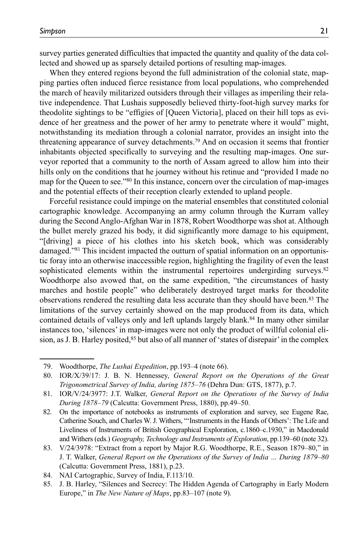survey parties generated difficulties that impacted the quantity and quality of the data collected and showed up as sparsely detailed portions of resulting map-images.

When they entered regions beyond the full administration of the colonial state, mapping parties often induced fierce resistance from local populations, who comprehended the march of heavily militarized outsiders through their villages as imperiling their relative independence. That Lushais supposedly believed thirty-foot-high survey marks for theodolite sightings to be "effigies of [Queen Victoria], placed on their hill tops as evidence of her greatness and the power of her army to penetrate where it would" might, notwithstanding its mediation through a colonial narrator, provides an insight into the threatening appearance of survey detachments.79 And on occasion it seems that frontier inhabitants objected specifically to surveying and the resulting map-images. One surveyor reported that a community to the north of Assam agreed to allow him into their hills only on the conditions that he journey without his retinue and "provided I made no map for the Queen to see."80 In this instance, concern over the circulation of map-images and the potential effects of their reception clearly extended to upland people.

Forceful resistance could impinge on the material ensembles that constituted colonial cartographic knowledge. Accompanying an army column through the Kurram valley during the Second Anglo-Afghan War in 1878, Robert Woodthorpe was shot at. Although the bullet merely grazed his body, it did significantly more damage to his equipment, "[driving] a piece of his clothes into his sketch book, which was considerably damaged."81 This incident impacted the outturn of spatial information on an opportunistic foray into an otherwise inaccessible region, highlighting the fragility of even the least sophisticated elements within the instrumental repertoires undergirding surveys.<sup>82</sup> Woodthorpe also avowed that, on the same expedition, "the circumstances of hasty marches and hostile people" who deliberately destroyed target marks for theodolite observations rendered the resulting data less accurate than they should have been.83 The limitations of the survey certainly showed on the map produced from its data, which contained details of valleys only and left uplands largely blank.84 In many other similar instances too, 'silences' in map-images were not only the product of willful colonial elision, as J. B. Harley posited,<sup>85</sup> but also of all manner of 'states of disrepair' in the complex

<sup>79.</sup> Woodthorpe, *The Lushai Expedition*, pp.193–4 (note 66).

<sup>80.</sup> IOR/X/39/17: J. B. N. Hennessey, *General Report on the Operations of the Great Trigonometrical Survey of India, during 1875–76* (Dehra Dun: GTS, 1877), p.7.

<sup>81.</sup> IOR/V/24/3977: J.T. Walker, *General Report on the Operations of the Survey of India During 1878–79* (Calcutta: Government Press, 1880), pp.49–50.

<sup>82.</sup> On the importance of notebooks as instruments of exploration and survey, see Eugene Rae, Catherine Souch, and Charles W. J. Withers, "'Instruments in the Hands of Others': The Life and Liveliness of Instruments of British Geographical Exploration, c.1860–c.1930," in Macdonald and Withers (eds.) *Geography, Technology and Instruments of Exploration*, pp.139–60 (note 32).

<sup>83.</sup> V/24/3978: "Extract from a report by Major R.G. Woodthorpe, R.E., Season 1879–80," in J. T. Walker, *General Report on the Operations of the Survey of India … During 1879–80* (Calcutta: Government Press, 1881), p.23.

<sup>84.</sup> NAI Cartographic, Survey of India, F.113/10.

<sup>85.</sup> J. B. Harley, "Silences and Secrecy: The Hidden Agenda of Cartography in Early Modern Europe," in *The New Nature of Maps*, pp.83–107 (note 9).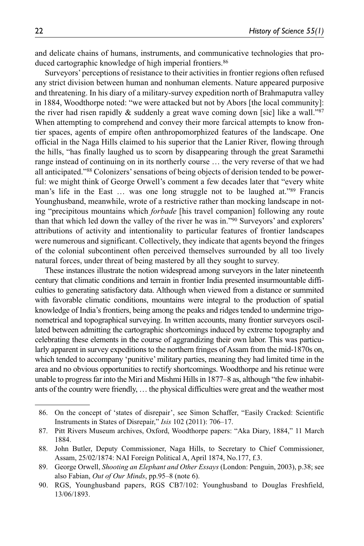and delicate chains of humans, instruments, and communicative technologies that produced cartographic knowledge of high imperial frontiers.<sup>86</sup>

Surveyors' perceptions of resistance to their activities in frontier regions often refused any strict division between human and nonhuman elements. Nature appeared purposive and threatening. In his diary of a military-survey expedition north of Brahmaputra valley in 1884, Woodthorpe noted: "we were attacked but not by Abors [the local community]: the river had risen rapidly  $\&$  suddenly a great wave coming down [sic] like a wall."<sup>87</sup> When attempting to comprehend and convey their more farcical attempts to know frontier spaces, agents of empire often anthropomorphized features of the landscape. One official in the Naga Hills claimed to his superior that the Lanier River, flowing through the hills, "has finally laughed us to scorn by disappearing through the great Saramethi range instead of continuing on in its northerly course … the very reverse of that we had all anticipated."88 Colonizers' sensations of being objects of derision tended to be powerful: we might think of George Orwell's comment a few decades later that "every white man's life in the East … was one long struggle not to be laughed at."89 Francis Younghusband, meanwhile, wrote of a restrictive rather than mocking landscape in noting "precipitous mountains which *forbade* [his travel companion] following any route than that which led down the valley of the river he was in."90 Surveyors' and explorers' attributions of activity and intentionality to particular features of frontier landscapes were numerous and significant. Collectively, they indicate that agents beyond the fringes of the colonial subcontinent often perceived themselves surrounded by all too lively natural forces, under threat of being mastered by all they sought to survey.

These instances illustrate the notion widespread among surveyors in the later nineteenth century that climatic conditions and terrain in frontier India presented insurmountable difficulties to generating satisfactory data. Although when viewed from a distance or summited with favorable climatic conditions, mountains were integral to the production of spatial knowledge of India's frontiers, being among the peaks and ridges tended to undermine trigonometrical and topographical surveying. In written accounts, many frontier surveyors oscillated between admitting the cartographic shortcomings induced by extreme topography and celebrating these elements in the course of aggrandizing their own labor. This was particularly apparent in survey expeditions to the northern fringes of Assam from the mid-1870s on, which tended to accompany 'punitive' military parties, meaning they had limited time in the area and no obvious opportunities to rectify shortcomings. Woodthorpe and his retinue were unable to progress far into the Miri and Mishmi Hills in 1877–8 as, although "the few inhabitants of the country were friendly, … the physical difficulties were great and the weather most

<sup>86.</sup> On the concept of 'states of disrepair', see Simon Schaffer, "Easily Cracked: Scientific Instruments in States of Disrepair," *Isis* 102 (2011): 706–17.

<sup>87.</sup> Pitt Rivers Museum archives, Oxford, Woodthorpe papers: "Aka Diary, 1884," 11 March 1884.

<sup>88.</sup> John Butler, Deputy Commissioner, Naga Hills, to Secretary to Chief Commissioner, Assam, 25/02/1874: NAI Foreign Political A, April 1874, No.177, f.3.

<sup>89.</sup> George Orwell, *Shooting an Elephant and Other Essays* (London: Penguin, 2003), p.38; see also Fabian, *Out of Our Minds*, pp.95–8 (note 6).

<sup>90.</sup> RGS, Younghusband papers, RGS CB7/102: Younghusband to Douglas Freshfield, 13/06/1893.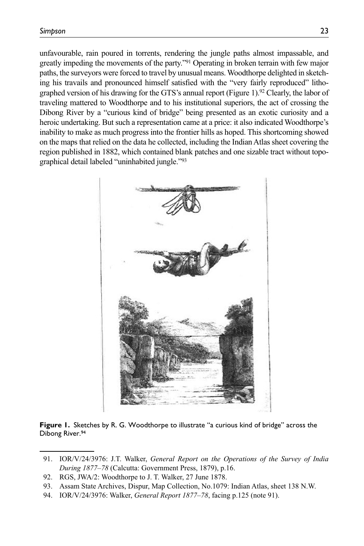unfavourable, rain poured in torrents, rendering the jungle paths almost impassable, and greatly impeding the movements of the party."91 Operating in broken terrain with few major paths, the surveyors were forced to travel by unusual means. Woodthorpe delighted in sketching his travails and pronounced himself satisfied with the "very fairly reproduced" lithographed version of his drawing for the GTS's annual report (Figure 1).92 Clearly, the labor of traveling mattered to Woodthorpe and to his institutional superiors, the act of crossing the Dibong River by a "curious kind of bridge" being presented as an exotic curiosity and a heroic undertaking. But such a representation came at a price: it also indicated Woodthorpe's inability to make as much progress into the frontier hills as hoped. This shortcoming showed on the maps that relied on the data he collected, including the Indian Atlas sheet covering the region published in 1882, which contained blank patches and one sizable tract without topographical detail labeled "uninhabited jungle."93



**Figure 1.** Sketches by R. G. Woodthorpe to illustrate "a curious kind of bridge" across the Dibong River.94

<sup>91.</sup> IOR/V/24/3976: J.T. Walker, *General Report on the Operations of the Survey of India During 1877–78* (Calcutta: Government Press, 1879), p.16.

<sup>92.</sup> RGS, JWA/2: Woodthorpe to J. T. Walker, 27 June 1878.

<sup>93.</sup> Assam State Archives, Dispur, Map Collection, No.1079: Indian Atlas, sheet 138 N.W.

<sup>94.</sup> IOR/V/24/3976: Walker, *General Report 1877–78*, facing p.125 (note 91).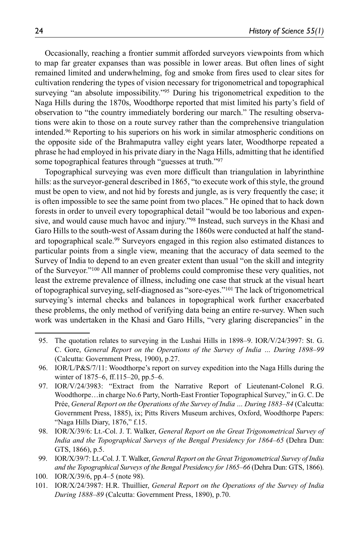Occasionally, reaching a frontier summit afforded surveyors viewpoints from which to map far greater expanses than was possible in lower areas. But often lines of sight remained limited and underwhelming, fog and smoke from fires used to clear sites for cultivation rendering the types of vision necessary for trigonometrical and topographical surveying "an absolute impossibility."<sup>95</sup> During his trigonometrical expedition to the Naga Hills during the 1870s, Woodthorpe reported that mist limited his party's field of observation to "the country immediately bordering our march." The resulting observations were akin to those on a route survey rather than the comprehensive triangulation intended.96 Reporting to his superiors on his work in similar atmospheric conditions on the opposite side of the Brahmaputra valley eight years later, Woodthorpe repeated a phrase he had employed in his private diary in the Naga Hills, admitting that he identified some topographical features through "guesses at truth."<sup>97</sup>

Topographical surveying was even more difficult than triangulation in labyrinthine hills: as the surveyor-general described in 1865, "to execute work of this style, the ground must be open to view, and not hid by forests and jungle, as is very frequently the case; it is often impossible to see the same point from two places." He opined that to hack down forests in order to unveil every topographical detail "would be too laborious and expensive, and would cause much havoc and injury."98 Instead, such surveys in the Khasi and Garo Hills to the south-west of Assam during the 1860s were conducted at half the standard topographical scale.<sup>99</sup> Surveyors engaged in this region also estimated distances to particular points from a single view, meaning that the accuracy of data seemed to the Survey of India to depend to an even greater extent than usual "on the skill and integrity of the Surveyor."100 All manner of problems could compromise these very qualities, not least the extreme prevalence of illness, including one case that struck at the visual heart of topographical surveying, self-diagnosed as "sore-eyes."101 The lack of trigonometrical surveying's internal checks and balances in topographical work further exacerbated these problems, the only method of verifying data being an entire re-survey. When such work was undertaken in the Khasi and Garo Hills, "very glaring discrepancies" in the

99. IOR/X/39/7: Lt.-Col. J. T. Walker, *General Report on the Great Trigonometrical Survey of India and the Topographical Surveys of the Bengal Presidency for 1865–66* (Dehra Dun: GTS, 1866).

<sup>95.</sup> The quotation relates to surveying in the Lushai Hills in 1898–9. IOR/V/24/3997: St. G. C. Gore, *General Report on the Operations of the Survey of India … During 1898–99* (Calcutta: Government Press, 1900), p.27.

<sup>96.</sup> IOR/L/P&S/7/11: Woodthorpe's report on survey expedition into the Naga Hills during the winter of 1875–6, ff.115–20, pp.5–6.

<sup>97.</sup> IOR/V/24/3983: "Extract from the Narrative Report of Lieutenant-Colonel R.G. Woodthorpe…in charge No.6 Party, North-East Frontier Topographical Survey," in G. C. De Prée, *General Report on the Operations of the Survey of India … During 1883–84* (Calcutta: Government Press, 1885), ix; Pitts Rivers Museum archives, Oxford, Woodthorpe Papers: "Naga Hills Diary, 1876," f.15.

<sup>98.</sup> IOR/X/39/6: Lt.-Col. J. T. Walker, *General Report on the Great Trigonometrical Survey of India and the Topographical Surveys of the Bengal Presidency for 1864–65* (Dehra Dun: GTS, 1866), p.5.

<sup>100.</sup> IOR/X/39/6, pp.4–5 (note 98).

<sup>101.</sup> IOR/X/24/3987: H.R. Thuillier, *General Report on the Operations of the Survey of India During 1888–89* (Calcutta: Government Press, 1890), p.70.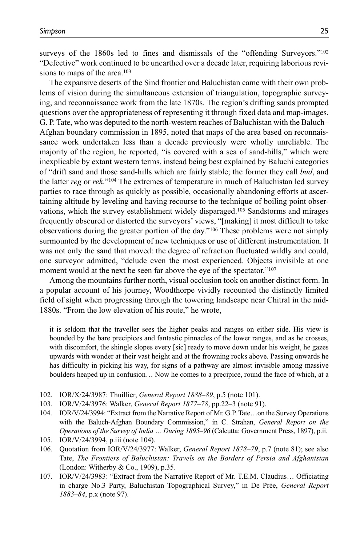surveys of the 1860s led to fines and dismissals of the "offending Surveyors."102 "Defective" work continued to be unearthed over a decade later, requiring laborious revisions to maps of the area.<sup>103</sup>

The expansive deserts of the Sind frontier and Baluchistan came with their own problems of vision during the simultaneous extension of triangulation, topographic surveying, and reconnaissance work from the late 1870s. The region's drifting sands prompted questions over the appropriateness of representing it through fixed data and map-images. G. P. Tate, who was deputed to the north-western reaches of Baluchistan with the Baluch– Afghan boundary commission in 1895, noted that maps of the area based on reconnaissance work undertaken less than a decade previously were wholly unreliable. The majority of the region, he reported, "is covered with a sea of sand-hills," which were inexplicable by extant western terms, instead being best explained by Baluchi categories of "drift sand and those sand-hills which are fairly stable; the former they call *bud*, and the latter *reg* or *rek*."104 The extremes of temperature in much of Baluchistan led survey parties to race through as quickly as possible, occasionally abandoning efforts at ascertaining altitude by leveling and having recourse to the technique of boiling point observations, which the survey establishment widely disparaged.105 Sandstorms and mirages frequently obscured or distorted the surveyors' views, "[making] it most difficult to take observations during the greater portion of the day."106 These problems were not simply surmounted by the development of new techniques or use of different instrumentation. It was not only the sand that moved: the degree of refraction fluctuated wildly and could, one surveyor admitted, "delude even the most experienced. Objects invisible at one moment would at the next be seen far above the eye of the spectator."107

Among the mountains further north, visual occlusion took on another distinct form. In a popular account of his journey, Woodthorpe vividly recounted the distinctly limited field of sight when progressing through the towering landscape near Chitral in the mid-1880s. "From the low elevation of his route," he wrote,

it is seldom that the traveller sees the higher peaks and ranges on either side. His view is bounded by the bare precipices and fantastic pinnacles of the lower ranges, and as he crosses, with discomfort, the shingle slopes every [sic] ready to move down under his weight, he gazes upwards with wonder at their vast height and at the frowning rocks above. Passing onwards he has difficulty in picking his way, for signs of a pathway are almost invisible among massive boulders heaped up in confusion… Now he comes to a precipice, round the face of which, at a

<sup>102.</sup> IOR/X/24/3987: Thuillier, *General Report 1888–89*, p.5 (note 101).

<sup>103.</sup> IOR/V/24/3976: Walker, *General Report 1877–78*, pp.22–3 (note 91).

<sup>104.</sup> IOR/V/24/3994: "Extract from the Narrative Report of Mr. G.P. Tate…on the Survey Operations with the Baluch-Afghan Boundary Commission," in C. Strahan, *General Report on the Operations of the Survey of India … During 1895–96* (Calcutta: Government Press, 1897), p.ii.

<sup>105.</sup> IOR/V/24/3994, p.iii (note 104).

<sup>106.</sup> Quotation from IOR/V/24/3977: Walker, *General Report 1878–79*, p.7 (note 81); see also Tate, *The Frontiers of Baluchistan: Travels on the Borders of Persia and Afghanistan* (London: Witherby & Co., 1909), p.35.

<sup>107.</sup> IOR/V/24/3983: "Extract from the Narrative Report of Mr. T.E.M. Claudius… Officiating in charge No.3 Party, Baluchistan Topographical Survey," in De Prée, *General Report 1883–84*, p.x (note 97).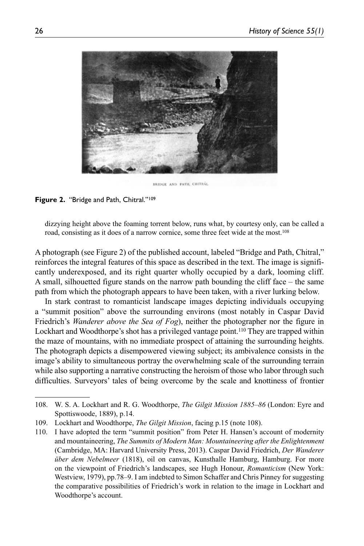

BRIDGE AND PATH, CHITRÁL

**Figure 2.** "Bridge and Path, Chitral."109

dizzying height above the foaming torrent below, runs what, by courtesy only, can be called a road, consisting as it does of a narrow cornice, some three feet wide at the most.<sup>108</sup>

A photograph (see Figure 2) of the published account, labeled "Bridge and Path, Chitral," reinforces the integral features of this space as described in the text. The image is significantly underexposed, and its right quarter wholly occupied by a dark, looming cliff. A small, silhouetted figure stands on the narrow path bounding the cliff face – the same path from which the photograph appears to have been taken, with a river lurking below.

In stark contrast to romanticist landscape images depicting individuals occupying a "summit position" above the surrounding environs (most notably in Caspar David Friedrich's *Wanderer above the Sea of Fog*), neither the photographer nor the figure in Lockhart and Woodthorpe's shot has a privileged vantage point.<sup>110</sup> They are trapped within the maze of mountains, with no immediate prospect of attaining the surrounding heights. The photograph depicts a disempowered viewing subject; its ambivalence consists in the image's ability to simultaneous portray the overwhelming scale of the surrounding terrain while also supporting a narrative constructing the heroism of those who labor through such difficulties. Surveyors' tales of being overcome by the scale and knottiness of frontier

<sup>108.</sup> W. S. A. Lockhart and R. G. Woodthorpe, *The Gilgit Mission 1885–86* (London: Eyre and Spottiswoode, 1889), p.14.

<sup>109.</sup> Lockhart and Woodthorpe, *The Gilgit Mission*, facing p.15 (note 108).

<sup>110.</sup> I have adopted the term "summit position" from Peter H. Hansen's account of modernity and mountaineering, *The Summits of Modern Man: Mountaineering after the Enlightenment* (Cambridge, MA: Harvard University Press, 2013). Caspar David Friedrich, *Der Wanderer über dem Nebelmeer* (1818), oil on canvas, Kunsthalle Hamburg, Hamburg. For more on the viewpoint of Friedrich's landscapes, see Hugh Honour, *Romanticism* (New York: Westview, 1979), pp.78–9. I am indebted to Simon Schaffer and Chris Pinney for suggesting the comparative possibilities of Friedrich's work in relation to the image in Lockhart and Woodthorpe's account.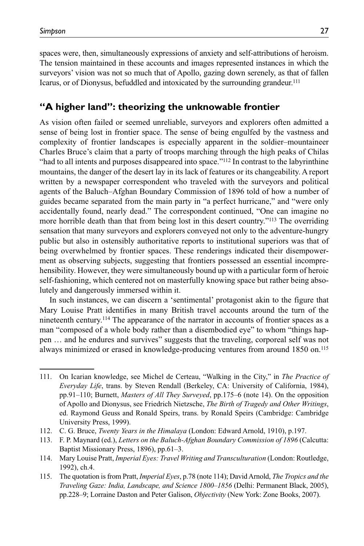spaces were, then, simultaneously expressions of anxiety and self-attributions of heroism. The tension maintained in these accounts and images represented instances in which the surveyors' vision was not so much that of Apollo, gazing down serenely, as that of fallen Icarus, or of Dionysus, befuddled and intoxicated by the surrounding grandeur.111

## **"A higher land": theorizing the unknowable frontier**

As vision often failed or seemed unreliable, surveyors and explorers often admitted a sense of being lost in frontier space. The sense of being engulfed by the vastness and complexity of frontier landscapes is especially apparent in the soldier–mountaineer Charles Bruce's claim that a party of troops marching through the high peaks of Chilas "had to all intents and purposes disappeared into space."112 In contrast to the labyrinthine mountains, the danger of the desert lay in its lack of features or its changeability. A report written by a newspaper correspondent who traveled with the surveyors and political agents of the Baluch–Afghan Boundary Commission of 1896 told of how a number of guides became separated from the main party in "a perfect hurricane," and "were only accidentally found, nearly dead." The correspondent continued, "One can imagine no more horrible death than that from being lost in this desert country."113 The overriding sensation that many surveyors and explorers conveyed not only to the adventure-hungry public but also in ostensibly authoritative reports to institutional superiors was that of being overwhelmed by frontier spaces. These renderings indicated their disempowerment as observing subjects, suggesting that frontiers possessed an essential incomprehensibility. However, they were simultaneously bound up with a particular form of heroic self-fashioning, which centered not on masterfully knowing space but rather being absolutely and dangerously immersed within it.

In such instances, we can discern a 'sentimental' protagonist akin to the figure that Mary Louise Pratt identifies in many British travel accounts around the turn of the nineteenth century.114 The appearance of the narrator in accounts of frontier spaces as a man "composed of a whole body rather than a disembodied eye" to whom "things happen … and he endures and survives" suggests that the traveling, corporeal self was not always minimized or erased in knowledge-producing ventures from around 1850 on.115

112. C. G. Bruce, *Twenty Years in the Himalaya* (London: Edward Arnold, 1910), p.197.

<sup>111.</sup> On Icarian knowledge, see Michel de Certeau, "Walking in the City," in *The Practice of Everyday Life*, trans. by Steven Rendall (Berkeley, CA: University of California, 1984), pp.91–110; Burnett, *Masters of All They Surveyed*, pp.175–6 (note 14). On the opposition of Apollo and Dionysus, see Friedrich Nietzsche, *The Birth of Tragedy and Other Writings*, ed. Raymond Geuss and Ronald Speirs, trans. by Ronald Speirs (Cambridge: Cambridge University Press, 1999).

<sup>113.</sup> F. P. Maynard (ed.), *Letters on the Baluch-Afghan Boundary Commission of 1896* (Calcutta: Baptist Missionary Press, 1896), pp.61–3.

<sup>114.</sup> Mary Louise Pratt, *Imperial Eyes: Travel Writing and Transculturation* (London: Routledge, 1992), ch.4.

<sup>115.</sup> The quotation is from Pratt, *Imperial Eyes*, p.78 (note 114); David Arnold, *The Tropics and the Traveling Gaze: India, Landscape, and Science 1800–1856* (Delhi: Permanent Black, 2005), pp.228–9; Lorraine Daston and Peter Galison, *Objectivity* (New York: Zone Books, 2007).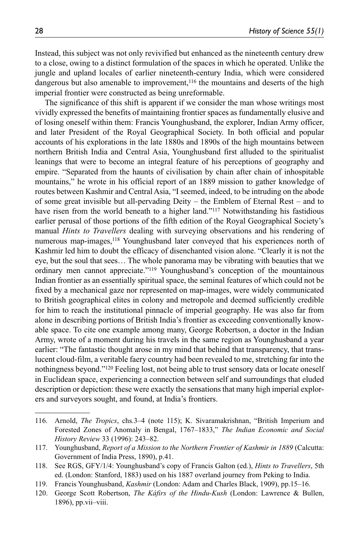Instead, this subject was not only revivified but enhanced as the nineteenth century drew to a close, owing to a distinct formulation of the spaces in which he operated. Unlike the jungle and upland locales of earlier nineteenth-century India, which were considered dangerous but also amenable to improvement, $116$  the mountains and deserts of the high imperial frontier were constructed as being unreformable.

The significance of this shift is apparent if we consider the man whose writings most vividly expressed the benefits of maintaining frontier spaces as fundamentally elusive and of losing oneself within them: Francis Younghusband, the explorer, Indian Army officer, and later President of the Royal Geographical Society. In both official and popular accounts of his explorations in the late 1880s and 1890s of the high mountains between northern British India and Central Asia, Younghusband first alluded to the spiritualist leanings that were to become an integral feature of his perceptions of geography and empire. "Separated from the haunts of civilisation by chain after chain of inhospitable mountains," he wrote in his official report of an 1889 mission to gather knowledge of routes between Kashmir and Central Asia, "I seemed, indeed, to be intruding on the abode of some great invisible but all-pervading Deity – the Emblem of Eternal Rest – and to have risen from the world beneath to a higher land."<sup>117</sup> Notwithstanding his fastidious earlier perusal of those portions of the fifth edition of the Royal Geographical Society's manual *Hints to Travellers* dealing with surveying observations and his rendering of numerous map-images,118 Younghusband later conveyed that his experiences north of Kashmir led him to doubt the efficacy of disenchanted vision alone. "Clearly it is not the eye, but the soul that sees… The whole panorama may be vibrating with beauties that we ordinary men cannot appreciate."119 Younghusband's conception of the mountainous Indian frontier as an essentially spiritual space, the seminal features of which could not be fixed by a mechanical gaze nor represented on map-images, were widely communicated to British geographical elites in colony and metropole and deemed sufficiently credible for him to reach the institutional pinnacle of imperial geography. He was also far from alone in describing portions of British India's frontier as exceeding conventionally knowable space. To cite one example among many, George Robertson, a doctor in the Indian Army, wrote of a moment during his travels in the same region as Younghusband a year earlier: "The fantastic thought arose in my mind that behind that transparency, that translucent cloud-film, a veritable faery country had been revealed to me, stretching far into the nothingness beyond."120 Feeling lost, not being able to trust sensory data or locate oneself in Euclidean space, experiencing a connection between self and surroundings that eluded description or depiction: these were exactly the sensations that many high imperial explorers and surveyors sought, and found, at India's frontiers.

<sup>116.</sup> Arnold, *The Tropics*, chs.3–4 (note 115); K. Sivaramakrishnan, "British Imperium and Forested Zones of Anomaly in Bengal, 1767–1833," *The Indian Economic and Social History Review* 33 (1996): 243–82.

<sup>117.</sup> Younghusband, *Report of a Mission to the Northern Frontier of Kashmir in 1889* (Calcutta: Government of India Press, 1890), p.41.

<sup>118.</sup> See RGS, GFY/1/4: Younghusband's copy of Francis Galton (ed.), *Hints to Travellers*, 5th ed. (London: Stanford, 1883) used on his 1887 overland journey from Peking to India.

<sup>119.</sup> Francis Younghusband, *Kashmir* (London: Adam and Charles Black, 1909), pp.15–16.

<sup>120.</sup> George Scott Robertson, *The Káfirs of the Hindu-Kush* (London: Lawrence & Bullen, 1896), pp.vii–viii.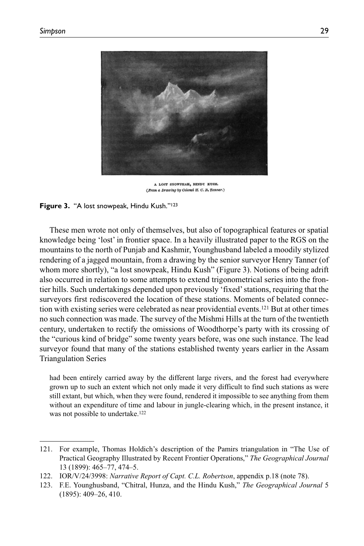

A LOST SNOWPEAK, HINDU KUSH. (From a Drawing by Colonel H. C. B. Tanner.)

**Figure 3.** "A lost snowpeak, Hindu Kush."123

These men wrote not only of themselves, but also of topographical features or spatial knowledge being 'lost' in frontier space. In a heavily illustrated paper to the RGS on the mountains to the north of Punjab and Kashmir, Younghusband labeled a moodily stylized rendering of a jagged mountain, from a drawing by the senior surveyor Henry Tanner (of whom more shortly), "a lost snowpeak, Hindu Kush" (Figure 3). Notions of being adrift also occurred in relation to some attempts to extend trigonometrical series into the frontier hills. Such undertakings depended upon previously 'fixed' stations, requiring that the surveyors first rediscovered the location of these stations. Moments of belated connection with existing series were celebrated as near providential events.121 But at other times no such connection was made. The survey of the Mishmi Hills at the turn of the twentieth century, undertaken to rectify the omissions of Woodthorpe's party with its crossing of the "curious kind of bridge" some twenty years before, was one such instance. The lead surveyor found that many of the stations established twenty years earlier in the Assam Triangulation Series

had been entirely carried away by the different large rivers, and the forest had everywhere grown up to such an extent which not only made it very difficult to find such stations as were still extant, but which, when they were found, rendered it impossible to see anything from them without an expenditure of time and labour in jungle-clearing which, in the present instance, it was not possible to undertake.122

<sup>121.</sup> For example, Thomas Holdich's description of the Pamirs triangulation in "The Use of Practical Geography Illustrated by Recent Frontier Operations," *The Geographical Journal* 13 (1899): 465–77, 474–5.

<sup>122.</sup> IOR/V/24/3998: *Narrative Report of Capt. C.L. Robertson*, appendix p.18 (note 78).

<sup>123.</sup> F.E. Younghusband, "Chitral, Hunza, and the Hindu Kush," *The Geographical Journal* 5 (1895): 409–26, 410.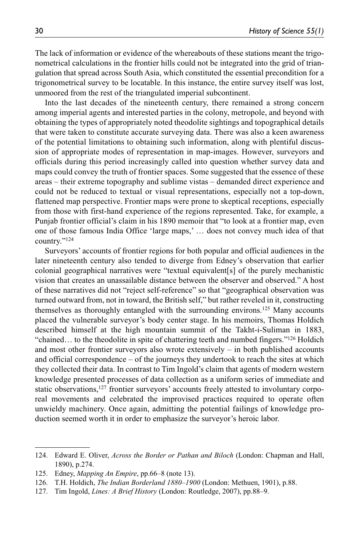The lack of information or evidence of the whereabouts of these stations meant the trigonometrical calculations in the frontier hills could not be integrated into the grid of triangulation that spread across South Asia, which constituted the essential precondition for a trigonometrical survey to be locatable. In this instance, the entire survey itself was lost, unmoored from the rest of the triangulated imperial subcontinent.

Into the last decades of the nineteenth century, there remained a strong concern among imperial agents and interested parties in the colony, metropole, and beyond with obtaining the types of appropriately noted theodolite sightings and topographical details that were taken to constitute accurate surveying data. There was also a keen awareness of the potential limitations to obtaining such information, along with plentiful discussion of appropriate modes of representation in map-images. However, surveyors and officials during this period increasingly called into question whether survey data and maps could convey the truth of frontier spaces. Some suggested that the essence of these areas – their extreme topography and sublime vistas – demanded direct experience and could not be reduced to textual or visual representations, especially not a top-down, flattened map perspective. Frontier maps were prone to skeptical receptions, especially from those with first-hand experience of the regions represented. Take, for example, a Punjab frontier official's claim in his 1890 memoir that "to look at a frontier map, even one of those famous India Office 'large maps,' … does not convey much idea of that country."124

Surveyors' accounts of frontier regions for both popular and official audiences in the later nineteenth century also tended to diverge from Edney's observation that earlier colonial geographical narratives were "textual equivalent[s] of the purely mechanistic vision that creates an unassailable distance between the observer and observed." A host of these narratives did not "reject self-reference" so that "geographical observation was turned outward from, not in toward, the British self," but rather reveled in it, constructing themselves as thoroughly entangled with the surrounding environs.125 Many accounts placed the vulnerable surveyor's body center stage. In his memoirs, Thomas Holdich described himself at the high mountain summit of the Takht-i-Suliman in 1883, "chained… to the theodolite in spite of chattering teeth and numbed fingers."126 Holdich and most other frontier surveyors also wrote extensively – in both published accounts and official correspondence – of the journeys they undertook to reach the sites at which they collected their data. In contrast to Tim Ingold's claim that agents of modern western knowledge presented processes of data collection as a uniform series of immediate and static observations,<sup>127</sup> frontier surveyors' accounts freely attested to involuntary corporeal movements and celebrated the improvised practices required to operate often unwieldy machinery. Once again, admitting the potential failings of knowledge production seemed worth it in order to emphasize the surveyor's heroic labor.

<sup>124.</sup> Edward E. Oliver, *Across the Border or Pathan and Biloch* (London: Chapman and Hall, 1890), p.274.

<sup>125.</sup> Edney, *Mapping An Empire*, pp.66–8 (note 13).

<sup>126.</sup> T.H. Holdich, *The Indian Borderland 1880–1900* (London: Methuen, 1901), p.88.

<sup>127.</sup> Tim Ingold, *Lines: A Brief History* (London: Routledge, 2007), pp.88–9.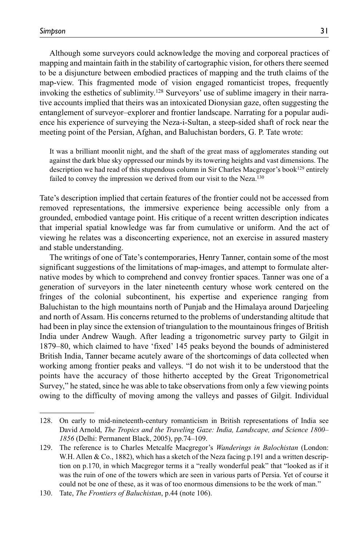Although some surveyors could acknowledge the moving and corporeal practices of mapping and maintain faith in the stability of cartographic vision, for others there seemed to be a disjuncture between embodied practices of mapping and the truth claims of the map-view. This fragmented mode of vision engaged romanticist tropes, frequently invoking the esthetics of sublimity.128 Surveyors' use of sublime imagery in their narrative accounts implied that theirs was an intoxicated Dionysian gaze, often suggesting the entanglement of surveyor–explorer and frontier landscape. Narrating for a popular audience his experience of surveying the Neza-i-Sultan, a steep-sided shaft of rock near the meeting point of the Persian, Afghan, and Baluchistan borders, G. P. Tate wrote:

It was a brilliant moonlit night, and the shaft of the great mass of agglomerates standing out against the dark blue sky oppressed our minds by its towering heights and vast dimensions. The description we had read of this stupendous column in Sir Charles Macgregor's book<sup>129</sup> entirely failed to convey the impression we derived from our visit to the Neza.<sup>130</sup>

Tate's description implied that certain features of the frontier could not be accessed from removed representations, the immersive experience being accessible only from a grounded, embodied vantage point. His critique of a recent written description indicates that imperial spatial knowledge was far from cumulative or uniform. And the act of viewing he relates was a disconcerting experience, not an exercise in assured mastery and stable understanding.

The writings of one of Tate's contemporaries, Henry Tanner, contain some of the most significant suggestions of the limitations of map-images, and attempt to formulate alternative modes by which to comprehend and convey frontier spaces. Tanner was one of a generation of surveyors in the later nineteenth century whose work centered on the fringes of the colonial subcontinent, his expertise and experience ranging from Baluchistan to the high mountains north of Punjab and the Himalaya around Darjeeling and north of Assam. His concerns returned to the problems of understanding altitude that had been in play since the extension of triangulation to the mountainous fringes of British India under Andrew Waugh. After leading a trigonometric survey party to Gilgit in 1879–80, which claimed to have 'fixed' 145 peaks beyond the bounds of administered British India, Tanner became acutely aware of the shortcomings of data collected when working among frontier peaks and valleys. "I do not wish it to be understood that the points have the accuracy of those hitherto accepted by the Great Trigonometrical Survey," he stated, since he was able to take observations from only a few viewing points owing to the difficulty of moving among the valleys and passes of Gilgit. Individual

<sup>128.</sup> On early to mid-nineteenth-century romanticism in British representations of India see David Arnold, *The Tropics and the Traveling Gaze: India, Landscape, and Science 1800– 1856* (Delhi: Permanent Black, 2005), pp.74–109.

<sup>129.</sup> The reference is to Charles Metcalfe Macgregor's *Wanderings in Balochistan* (London: W.H. Allen & Co., 1882), which has a sketch of the Neza facing p.191 and a written description on p.170, in which Macgregor terms it a "really wonderful peak" that "looked as if it was the ruin of one of the towers which are seen in various parts of Persia. Yet of course it could not be one of these, as it was of too enormous dimensions to be the work of man."

<sup>130.</sup> Tate, *The Frontiers of Baluchistan*, p.44 (note 106).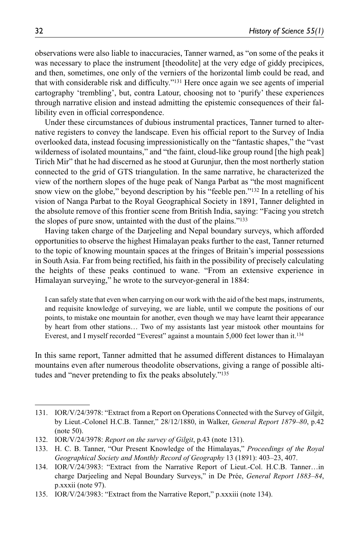observations were also liable to inaccuracies, Tanner warned, as "on some of the peaks it was necessary to place the instrument [theodolite] at the very edge of giddy precipices, and then, sometimes, one only of the verniers of the horizontal limb could be read, and that with considerable risk and difficulty."131 Here once again we see agents of imperial cartography 'trembling', but, contra Latour, choosing not to 'purify' these experiences through narrative elision and instead admitting the epistemic consequences of their fallibility even in official correspondence.

Under these circumstances of dubious instrumental practices, Tanner turned to alternative registers to convey the landscape. Even his official report to the Survey of India overlooked data, instead focusing impressionistically on the "fantastic shapes," the "vast wilderness of isolated mountains," and "the faint, cloud-like group round [the high peak] Tirich Mir" that he had discerned as he stood at Gurunjur, then the most northerly station connected to the grid of GTS triangulation. In the same narrative, he characterized the view of the northern slopes of the huge peak of Nanga Parbat as "the most magnificent snow view on the globe," beyond description by his "feeble pen."<sup>132</sup> In a retelling of his vision of Nanga Parbat to the Royal Geographical Society in 1891, Tanner delighted in the absolute remove of this frontier scene from British India, saying: "Facing you stretch the slopes of pure snow, untainted with the dust of the plains."133

Having taken charge of the Darjeeling and Nepal boundary surveys, which afforded opportunities to observe the highest Himalayan peaks further to the east, Tanner returned to the topic of knowing mountain spaces at the fringes of Britain's imperial possessions in South Asia. Far from being rectified, his faith in the possibility of precisely calculating the heights of these peaks continued to wane. "From an extensive experience in Himalayan surveying," he wrote to the surveyor-general in 1884:

I can safely state that even when carrying on our work with the aid of the best maps, instruments, and requisite knowledge of surveying, we are liable, until we compute the positions of our points, to mistake one mountain for another, even though we may have learnt their appearance by heart from other stations… Two of my assistants last year mistook other mountains for Everest, and I myself recorded "Everest" against a mountain 5,000 feet lower than it.134

In this same report, Tanner admitted that he assumed different distances to Himalayan mountains even after numerous theodolite observations, giving a range of possible altitudes and "never pretending to fix the peaks absolutely."135

<sup>131.</sup> IOR/V/24/3978: "Extract from a Report on Operations Connected with the Survey of Gilgit, by Lieut.-Colonel H.C.B. Tanner," 28/12/1880, in Walker, *General Report 1879–80*, p.42 (note 50).

<sup>132.</sup> IOR/V/24/3978: *Report on the survey of Gilgit*, p.43 (note 131).

<sup>133.</sup> H. C. B. Tanner, "Our Present Knowledge of the Himalayas," *Proceedings of the Royal Geographical Society and Monthly Record of Geography* 13 (1891): 403–23, 407.

<sup>134.</sup> IOR/V/24/3983: "Extract from the Narrative Report of Lieut.-Col. H.C.B. Tanner…in charge Darjeeling and Nepal Boundary Surveys," in De Prée, *General Report 1883–84*, p.xxxii (note 97).

<sup>135.</sup> IOR/V/24/3983: "Extract from the Narrative Report," p.xxxiii (note 134).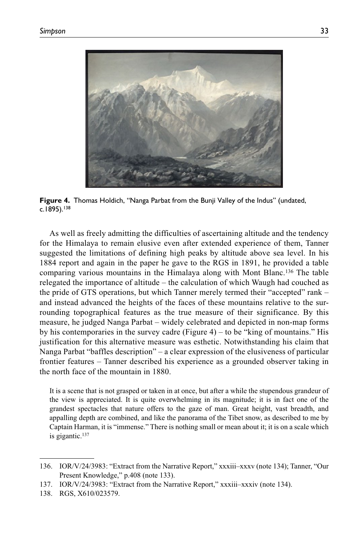

**Figure 4.** Thomas Holdich, "Nanga Parbat from the Bunji Valley of the Indus" (undated, c.1895).138

As well as freely admitting the difficulties of ascertaining altitude and the tendency for the Himalaya to remain elusive even after extended experience of them, Tanner suggested the limitations of defining high peaks by altitude above sea level. In his 1884 report and again in the paper he gave to the RGS in 1891, he provided a table comparing various mountains in the Himalaya along with Mont Blanc.136 The table relegated the importance of altitude – the calculation of which Waugh had couched as the pride of GTS operations, but which Tanner merely termed their "accepted" rank – and instead advanced the heights of the faces of these mountains relative to the surrounding topographical features as the true measure of their significance. By this measure, he judged Nanga Parbat – widely celebrated and depicted in non-map forms by his contemporaries in the survey cadre (Figure 4) – to be "king of mountains." His justification for this alternative measure was esthetic. Notwithstanding his claim that Nanga Parbat "baffles description" – a clear expression of the elusiveness of particular frontier features – Tanner described his experience as a grounded observer taking in the north face of the mountain in 1880.

It is a scene that is not grasped or taken in at once, but after a while the stupendous grandeur of the view is appreciated. It is quite overwhelming in its magnitude; it is in fact one of the grandest spectacles that nature offers to the gaze of man. Great height, vast breadth, and appalling depth are combined, and like the panorama of the Tibet snow, as described to me by Captain Harman, it is "immense." There is nothing small or mean about it; it is on a scale which is gigantic.137

<sup>136.</sup> IOR/V/24/3983: "Extract from the Narrative Report," xxxiii–xxxv (note 134); Tanner, "Our Present Knowledge," p.408 (note 133).

<sup>137.</sup> IOR/V/24/3983: "Extract from the Narrative Report," xxxiii–xxxiv (note 134).

<sup>138.</sup> RGS, X610/023579.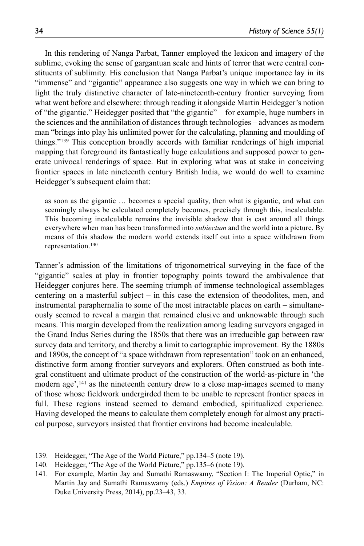In this rendering of Nanga Parbat, Tanner employed the lexicon and imagery of the sublime, evoking the sense of gargantuan scale and hints of terror that were central constituents of sublimity. His conclusion that Nanga Parbat's unique importance lay in its "immense" and "gigantic" appearance also suggests one way in which we can bring to light the truly distinctive character of late-nineteenth-century frontier surveying from what went before and elsewhere: through reading it alongside Martin Heidegger's notion of "the gigantic." Heidegger posited that "the gigantic" – for example, huge numbers in the sciences and the annihilation of distances through technologies – advances as modern man "brings into play his unlimited power for the calculating, planning and moulding of things."139 This conception broadly accords with familiar renderings of high imperial mapping that foreground its fantastically huge calculations and supposed power to generate univocal renderings of space. But in exploring what was at stake in conceiving frontier spaces in late nineteenth century British India, we would do well to examine Heidegger's subsequent claim that:

as soon as the gigantic … becomes a special quality, then what is gigantic, and what can seemingly always be calculated completely becomes, precisely through this, incalculable. This becoming incalculable remains the invisible shadow that is cast around all things everywhere when man has been transformed into *subiectum* and the world into a picture. By means of this shadow the modern world extends itself out into a space withdrawn from representation.140

Tanner's admission of the limitations of trigonometrical surveying in the face of the "gigantic" scales at play in frontier topography points toward the ambivalence that Heidegger conjures here. The seeming triumph of immense technological assemblages centering on a masterful subject – in this case the extension of theodolites, men, and instrumental paraphernalia to some of the most intractable places on earth – simultaneously seemed to reveal a margin that remained elusive and unknowable through such means. This margin developed from the realization among leading surveyors engaged in the Grand Indus Series during the 1850s that there was an irreducible gap between raw survey data and territory, and thereby a limit to cartographic improvement. By the 1880s and 1890s, the concept of "a space withdrawn from representation" took on an enhanced, distinctive form among frontier surveyors and explorers. Often construed as both integral constituent and ultimate product of the construction of the world-as-picture in 'the modern age', $^{141}$  as the nineteenth century drew to a close map-images seemed to many of those whose fieldwork undergirded them to be unable to represent frontier spaces in full. These regions instead seemed to demand embodied, spiritualized experience. Having developed the means to calculate them completely enough for almost any practical purpose, surveyors insisted that frontier environs had become incalculable.

<sup>139.</sup> Heidegger, "The Age of the World Picture," pp.134–5 (note 19).

<sup>140.</sup> Heidegger, "The Age of the World Picture," pp.135–6 (note 19).

<sup>141.</sup> For example, Martin Jay and Sumathi Ramaswamy, "Section I: The Imperial Optic," in Martin Jay and Sumathi Ramaswamy (eds.) *Empires of Vision: A Reader* (Durham, NC: Duke University Press, 2014), pp.23–43, 33.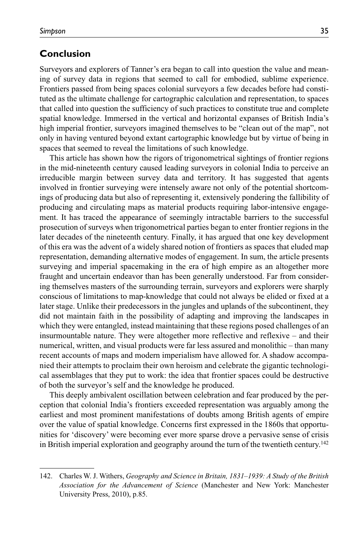### **Conclusion**

Surveyors and explorers of Tanner's era began to call into question the value and meaning of survey data in regions that seemed to call for embodied, sublime experience. Frontiers passed from being spaces colonial surveyors a few decades before had constituted as the ultimate challenge for cartographic calculation and representation, to spaces that called into question the sufficiency of such practices to constitute true and complete spatial knowledge. Immersed in the vertical and horizontal expanses of British India's high imperial frontier, surveyors imagined themselves to be "clean out of the map", not only in having ventured beyond extant cartographic knowledge but by virtue of being in spaces that seemed to reveal the limitations of such knowledge.

This article has shown how the rigors of trigonometrical sightings of frontier regions in the mid-nineteenth century caused leading surveyors in colonial India to perceive an irreducible margin between survey data and territory. It has suggested that agents involved in frontier surveying were intensely aware not only of the potential shortcomings of producing data but also of representing it, extensively pondering the fallibility of producing and circulating maps as material products requiring labor-intensive engagement. It has traced the appearance of seemingly intractable barriers to the successful prosecution of surveys when trigonometrical parties began to enter frontier regions in the later decades of the nineteenth century. Finally, it has argued that one key development of this era was the advent of a widely shared notion of frontiers as spaces that eluded map representation, demanding alternative modes of engagement. In sum, the article presents surveying and imperial spacemaking in the era of high empire as an altogether more fraught and uncertain endeavor than has been generally understood. Far from considering themselves masters of the surrounding terrain, surveyors and explorers were sharply conscious of limitations to map-knowledge that could not always be elided or fixed at a later stage. Unlike their predecessors in the jungles and uplands of the subcontinent, they did not maintain faith in the possibility of adapting and improving the landscapes in which they were entangled, instead maintaining that these regions posed challenges of an insurmountable nature. They were altogether more reflective and reflexive – and their numerical, written, and visual products were far less assured and monolithic – than many recent accounts of maps and modern imperialism have allowed for. A shadow accompanied their attempts to proclaim their own heroism and celebrate the gigantic technological assemblages that they put to work: the idea that frontier spaces could be destructive of both the surveyor's self and the knowledge he produced.

This deeply ambivalent oscillation between celebration and fear produced by the perception that colonial India's frontiers exceeded representation was arguably among the earliest and most prominent manifestations of doubts among British agents of empire over the value of spatial knowledge. Concerns first expressed in the 1860s that opportunities for 'discovery' were becoming ever more sparse drove a pervasive sense of crisis in British imperial exploration and geography around the turn of the twentieth century.142

<sup>142.</sup> Charles W. J. Withers, *Geography and Science in Britain, 1831–1939: A Study of the British Association for the Advancement of Science* (Manchester and New York: Manchester University Press, 2010), p.85.